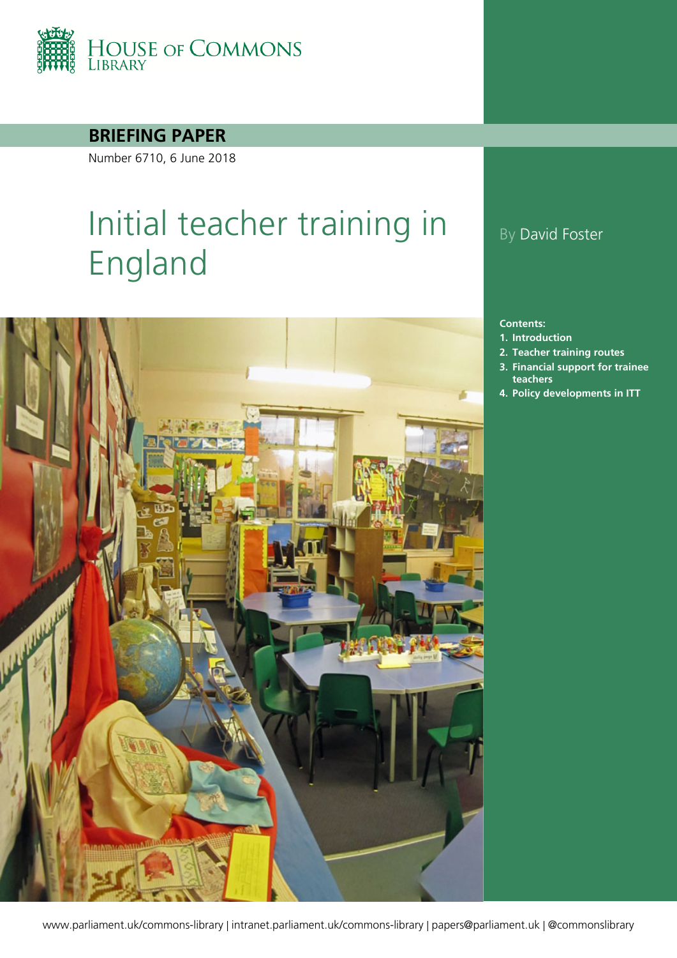

#### **BRIEFING PAPER**

Number 6710, 6 June 2018

# Initial teacher training in England



### By David Foster

#### **Contents:**

- **1. [Introduction](#page-3-0)**
- **2. [Teacher training routes](#page-5-0)**
- **3. [Financial support for trainee](#page-15-0)  [teachers](#page-15-0)**
- **4. [Policy developments in ITT](#page-18-0)**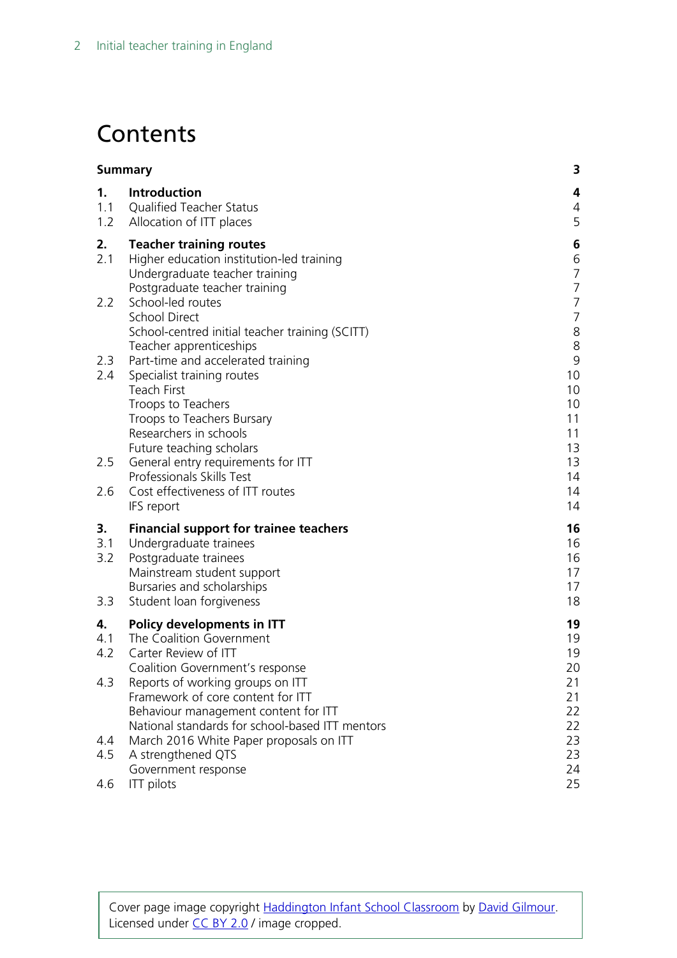## **Contents**

| <b>Summary</b>          |                                                                                                                                                                                                                             | 3                                                          |
|-------------------------|-----------------------------------------------------------------------------------------------------------------------------------------------------------------------------------------------------------------------------|------------------------------------------------------------|
| 1.<br>1.1<br>1.2        | Introduction<br><b>Qualified Teacher Status</b><br>Allocation of ITT places                                                                                                                                                 | 4<br>4<br>5                                                |
| 2.<br>2.1               | <b>Teacher training routes</b><br>Higher education institution-led training<br>Undergraduate teacher training<br>Postgraduate teacher training                                                                              | 6<br>6<br>$\overline{7}$<br>$\overline{7}$                 |
| 2.2                     | School-led routes<br><b>School Direct</b><br>School-centred initial teacher training (SCITT)                                                                                                                                | $\overline{7}$<br>$\overline{7}$<br>$\,8\,$                |
| 2.3<br>2.4              | Teacher apprenticeships<br>Part-time and accelerated training<br>Specialist training routes<br><b>Teach First</b><br>Troops to Teachers<br>Troops to Teachers Bursary<br>Researchers in schools<br>Future teaching scholars | $\,8\,$<br>$\mathsf 9$<br>10<br>10<br>10<br>11<br>11<br>13 |
| 2.5<br>2.6              | General entry requirements for ITT<br>Professionals Skills Test<br>Cost effectiveness of ITT routes<br>IFS report                                                                                                           | 13<br>14<br>14<br>14                                       |
| 3.<br>3.1<br>3.2<br>3.3 | <b>Financial support for trainee teachers</b><br>Undergraduate trainees<br>Postgraduate trainees<br>Mainstream student support<br>Bursaries and scholarships<br>Student loan forgiveness                                    | 16<br>16<br>16<br>17<br>17<br>18                           |
| 4.<br>4.1<br>4.2        | Policy developments in ITT<br>The Coalition Government<br>Carter Review of ITT<br>Coalition Government's response                                                                                                           | 19<br>19<br>19<br>20                                       |
| 4.3                     | Reports of working groups on ITT<br>Framework of core content for ITT<br>Behaviour management content for ITT<br>National standards for school-based ITT mentors                                                            | 21<br>21<br>22<br>22                                       |
| 4.4                     | March 2016 White Paper proposals on ITT                                                                                                                                                                                     | 23                                                         |
| 4.5<br>4.6              | A strengthened QTS<br>Government response<br><b>ITT</b> pilots                                                                                                                                                              | 23<br>24<br>25                                             |

Cover page image copyright [Haddington Infant School Classroom](https://www.flickr.com/photos/davidgilmour/8054768528/in/photolist-dgLN4s-rBJGQH-9DZPr-peS62u-boo4u7-rjgtWT-fHMRX8-bjpnAB-atjKHJ-dRj66Y-r2Bjv6-qK2ymQ-qZjbr7-q5AN79-r2wvN3-r2shwR-qK3RNy-qK3Q6L-q5Ptc8-qZjbSC-5wrEiv-7mQDFx-boBf7J-bBhY2V-4dJPyP-gjyq6i-bjGaiE-8VyCkT-5Urxsu-nnFoWi-4euk4W-bPCCM2-9R9qqY-f8r8er-PMpHi-bAJabh-9KMedm-artMsp-ocZRbi-9WBF8y-rAHmp6-bPCChR-rABNMW-bPCMdZ-qDHNs7-bAJ89w-3uwTYS-boBf6C-oudcsc-3uwNCy) by [David Gilmour.](https://www.flickr.com/photos/davidgilmour/) Licensed under [CC BY 2.0](https://creativecommons.org/licenses/by-nc-sa/2.0/) / image cropped.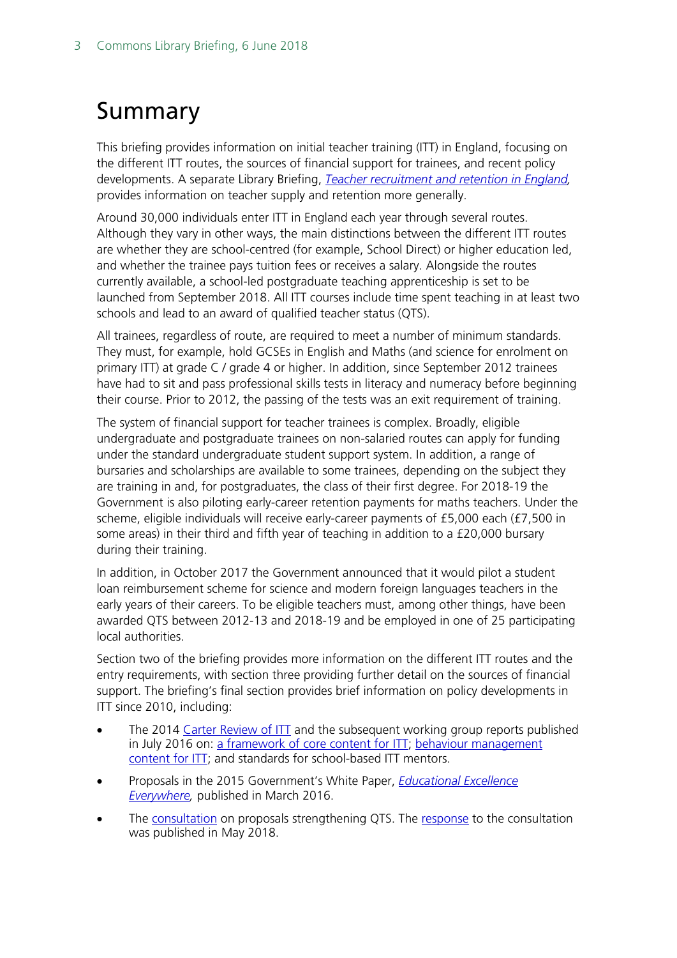## <span id="page-2-0"></span>Summary

This briefing provides information on initial teacher training (ITT) in England, focusing on the different ITT routes, the sources of financial support for trainees, and recent policy developments. A separate Library Briefing, *[Teacher recruitment and retention in England,](http://researchbriefings.parliament.uk/ResearchBriefing/Summary/CBP-7222)*  provides information on teacher supply and retention more generally.

Around 30,000 individuals enter ITT in England each year through several routes. Although they vary in other ways, the main distinctions between the different ITT routes are whether they are school-centred (for example, School Direct) or higher education led, and whether the trainee pays tuition fees or receives a salary. Alongside the routes currently available, a school-led postgraduate teaching apprenticeship is set to be launched from September 2018. All ITT courses include time spent teaching in at least two schools and lead to an award of qualified teacher status (QTS).

All trainees, regardless of route, are required to meet a number of minimum standards. They must, for example, hold GCSEs in English and Maths (and science for enrolment on primary ITT) at grade C / grade 4 or higher. In addition, since September 2012 trainees have had to sit and pass professional skills tests in literacy and numeracy before beginning their course. Prior to 2012, the passing of the tests was an exit requirement of training.

The system of financial support for teacher trainees is complex. Broadly, eligible undergraduate and postgraduate trainees on non-salaried routes can apply for funding under the standard undergraduate student support system. In addition, a range of bursaries and scholarships are available to some trainees, depending on the subject they are training in and, for postgraduates, the class of their first degree. For 2018-19 the Government is also piloting early-career retention payments for maths teachers. Under the scheme, eligible individuals will receive early-career payments of £5,000 each (£7,500 in some areas) in their third and fifth year of teaching in addition to a £20,000 bursary during their training.

In addition, in October 2017 the Government announced that it would pilot a student loan reimbursement scheme for science and modern foreign languages teachers in the early years of their careers. To be eligible teachers must, among other things, have been awarded QTS between 2012-13 and 2018-19 and be employed in one of 25 participating local authorities.

Section two of the briefing provides more information on the different ITT routes and the entry requirements, with section three providing further detail on the sources of financial support. The briefing's final section provides brief information on policy developments in ITT since 2010, including:

- The 2014 [Carter Review of ITT](https://www.gov.uk/government/uploads/system/uploads/attachment_data/file/346051/Consultation_Document_-_Carter_Review_Final.pdf) and the subsequent working group reports published in July 2016 on: [a framework of core content for ITT;](https://www.gov.uk/government/uploads/system/uploads/attachment_data/file/536890/Framework_Report_11_July_2016_Final.pdf) [behaviour management](https://www.gov.uk/government/uploads/system/uploads/attachment_data/file/536889/Behaviour_Management_report_final__11_July_2016.pdf)  [content for ITT;](https://www.gov.uk/government/uploads/system/uploads/attachment_data/file/536889/Behaviour_Management_report_final__11_July_2016.pdf) and standards for school-based ITT mentors.
- Proposals in the 2015 Government's White Paper, *[Educational Excellence](https://www.gov.uk/government/publications/educational-excellence-everywhere)*  **[Everywhere,](https://www.gov.uk/government/publications/educational-excellence-everywhere)** published in March 2016.
- The [consultation](https://consult.education.gov.uk/teaching-profession-unit/strengthening-qts-and-improving-career-progression/supporting_documents/Strengthening%20Qualified%20Teacher%20Status%20and%20improving%20career%20progression%20for%20teachers%20consultation.pdf) on proposals strengthening QTS. The [response](https://assets.publishing.service.gov.uk/government/uploads/system/uploads/attachment_data/file/704942/Government_consultation_response_-_QTS_and_career_progression.pdf) to the consultation was published in May 2018.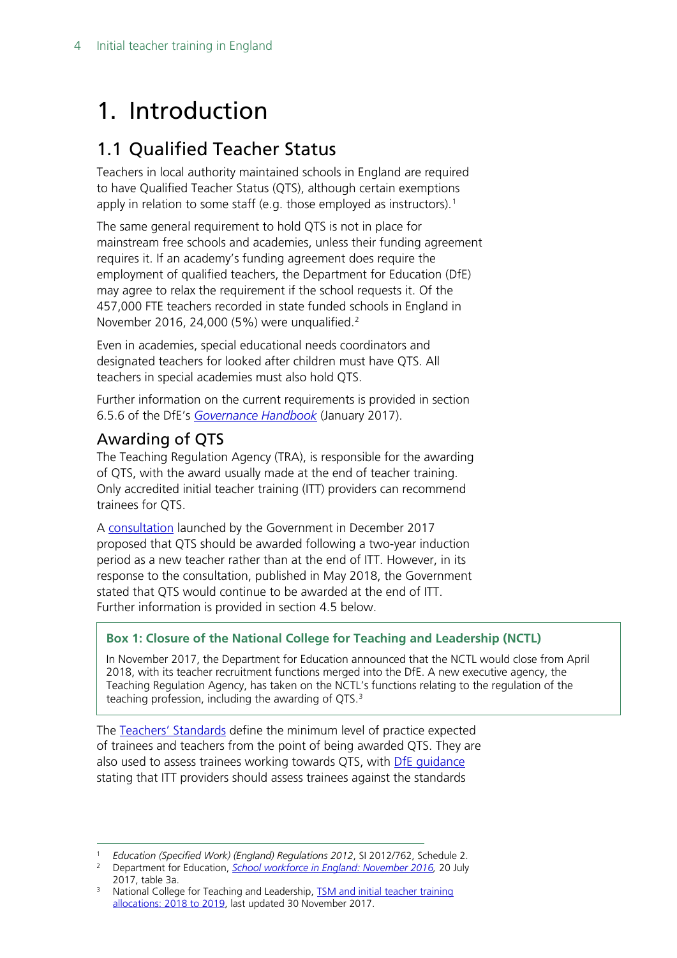## <span id="page-3-0"></span>1. Introduction

### <span id="page-3-1"></span>1.1 Qualified Teacher Status

Teachers in local authority maintained schools in England are required to have Qualified Teacher Status (QTS), although certain exemptions apply in relation to some staff (e.g. those employed as instructors). [1](#page-3-2)

The same general requirement to hold QTS is not in place for mainstream free schools and academies, unless their funding agreement requires it. If an academy's funding agreement does require the employment of qualified teachers, the Department for Education (DfE) may agree to relax the requirement if the school requests it. Of the 457,000 FTE teachers recorded in state funded schools in England in November [2](#page-3-3)016, 24,000 (5%) were unqualified.<sup>2</sup>

Even in academies, special educational needs coordinators and designated teachers for looked after children must have QTS. All teachers in special academies must also hold QTS.

Further information on the current requirements is provided in section 6.5.6 of the DfE's *[Governance Handbook](https://www.gov.uk/government/publications/governance-handbook)* (January 2017).

#### Awarding of QTS

The Teaching Regulation Agency (TRA), is responsible for the awarding of QTS, with the award usually made at the end of teacher training. Only accredited initial teacher training (ITT) providers can recommend trainees for QTS.

A [consultation](https://consult.education.gov.uk/teaching-profession-unit/strengthening-qts-and-improving-career-progression/supporting_documents/Strengthening%20Qualified%20Teacher%20Status%20and%20improving%20career%20progression%20for%20teachers%20consultation.pdf) launched by the Government in December 2017 proposed that QTS should be awarded following a two-year induction period as a new teacher rather than at the end of ITT. However, in its response to the consultation, published in May 2018, the Government stated that QTS would continue to be awarded at the end of ITT. Further information is provided in section 4.5 below.

#### **Box 1: Closure of the National College for Teaching and Leadership (NCTL)**

In November 2017, the Department for Education announced that the NCTL would close from April 2018, with its teacher recruitment functions merged into the DfE. A new executive agency, the Teaching Regulation Agency, has taken on the NCTL's functions relating to the regulation of the teaching profession, including the awarding of  $QTS$ .<sup>[3](#page-3-4)</sup>

The [Teachers' Standards](https://www.gov.uk/government/publications/teachers-standards) define the minimum level of practice expected of trainees and teachers from the point of being awarded QTS. They are also used to assess trainees working towards QTS, with DfE [guidance](https://www.gov.uk/government/uploads/system/uploads/attachment_data/file/301107/Teachers__Standards.pdf) stating that ITT providers should assess trainees against the standards

<span id="page-3-3"></span><span id="page-3-2"></span><sup>1</sup> *Education (Specified Work) (England) Regulations 2012*, SI 2012/762, Schedule 2. 2 Department for Education, *[School workforce in England: November 2016,](https://www.gov.uk/government/statistics/school-workforce-in-england-november-2016)* 20 July 2017, table 3a.

<span id="page-3-4"></span><sup>&</sup>lt;sup>3</sup> National College for Teaching and Leadership, TSM and initial teacher training [allocations: 2018 to 2019,](https://www.gov.uk/government/statistics/tsm-and-initial-teacher-training-allocations-2018-to-2019) last updated 30 November 2017.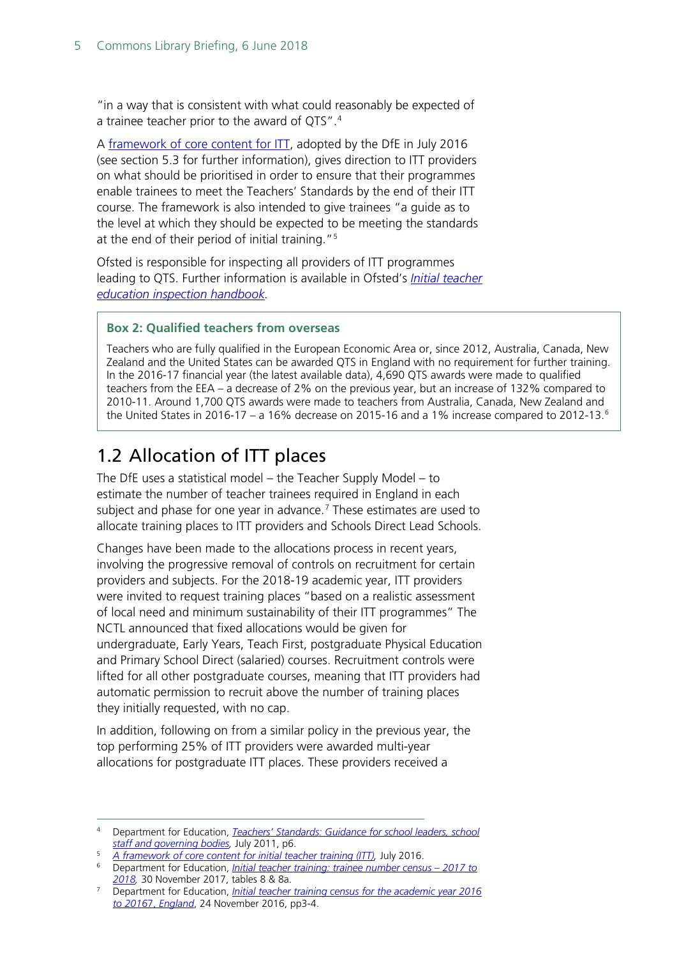"in a way that is consistent with what could reasonably be expected of a trainee teacher prior to the award of QTS".<sup>[4](#page-4-1)</sup>

A [framework of core content for ITT,](https://www.gov.uk/government/uploads/system/uploads/attachment_data/file/536890/Framework_Report_11_July_2016_Final.pdf) adopted by the DfE in July 2016 (see section 5.3 for further information), gives direction to ITT providers on what should be prioritised in order to ensure that their programmes enable trainees to meet the Teachers' Standards by the end of their ITT course. The framework is also intended to give trainees "a guide as to the level at which they should be expected to be meeting the standards at the end of their period of initial training."[5](#page-4-2)

Ofsted is responsible for inspecting all providers of ITT programmes leading to QTS. Further information is available in Ofsted's *[Initial teacher](https://www.gov.uk/government/uploads/system/uploads/attachment_data/file/459282/Initial_Teacher_Eduction_handbook_from_September_2015.pdf)  [education inspection handbook.](https://www.gov.uk/government/uploads/system/uploads/attachment_data/file/459282/Initial_Teacher_Eduction_handbook_from_September_2015.pdf)*

#### **Box 2: Qualified teachers from overseas**

Teachers who are fully qualified in the European Economic Area or, since 2012, Australia, Canada, New Zealand and the United States can be awarded QTS in England with no requirement for further training. In the 2016-17 financial year (the latest available data), 4,690 QTS awards were made to qualified teachers from the EEA – a decrease of 2% on the previous year, but an increase of 132% compared to 2010-11. Around 1,700 QTS awards were made to teachers from Australia, Canada, New Zealand and the United States in 201[6](#page-4-4)-17 – a 16% decrease on 2015-16 and a 1% increase compared to 2012-13.<sup>6</sup>

## <span id="page-4-0"></span>1.2 Allocation of ITT places

The DfE uses a statistical model – the Teacher Supply Model – to estimate the number of teacher trainees required in England in each subject and phase for one year in advance.<sup>[7](#page-4-3)</sup> These estimates are used to allocate training places to ITT providers and Schools Direct Lead Schools.

Changes have been made to the allocations process in recent years, involving the progressive removal of controls on recruitment for certain providers and subjects. For the 2018-19 academic year, ITT providers were invited to request training places "based on a realistic assessment of local need and minimum sustainability of their ITT programmes" The NCTL announced that fixed allocations would be given for undergraduate, Early Years, Teach First, postgraduate Physical Education and Primary School Direct (salaried) courses. Recruitment controls were lifted for all other postgraduate courses, meaning that ITT providers had automatic permission to recruit above the number of training places they initially requested, with no cap.

In addition, following on from a similar policy in the previous year, the top performing 25% of ITT providers were awarded multi-year allocations for postgraduate ITT places. These providers received a

<span id="page-4-1"></span> <sup>4</sup> Department for Education, *[Teachers' Standards: Guidance for school leaders, school](https://www.gov.uk/government/uploads/system/uploads/attachment_data/file/301107/Teachers__Standards.pdf)  [staff and governing bodies,](https://www.gov.uk/government/uploads/system/uploads/attachment_data/file/301107/Teachers__Standards.pdf)* July 2011, p6.

<span id="page-4-2"></span><sup>5</sup> *[A framework of core content for initial teacher training \(ITT\),](https://www.gov.uk/government/uploads/system/uploads/attachment_data/file/536890/Framework_Report_11_July_2016_Final.pdf)* July 2016.

<span id="page-4-4"></span><sup>6</sup> Department for Education, *[Initial teacher training: trainee number census –](https://www.gov.uk/government/statistics/initial-teacher-training-trainee-number-census-2017-to-2018) 2017 to [2018,](https://www.gov.uk/government/statistics/initial-teacher-training-trainee-number-census-2017-to-2018)* 30 November 2017, tables 8 & 8a.

<span id="page-4-3"></span><sup>7</sup> Department for Education, *[Initial teacher training census for the academic year 2016](https://www.gov.uk/government/statistics/initial-teacher-training-trainee-number-census-2016-to-2017)  to 2016*7, *[England](https://www.gov.uk/government/statistics/initial-teacher-training-trainee-number-census-2016-to-2017)*, 24 November 2016, pp3-4.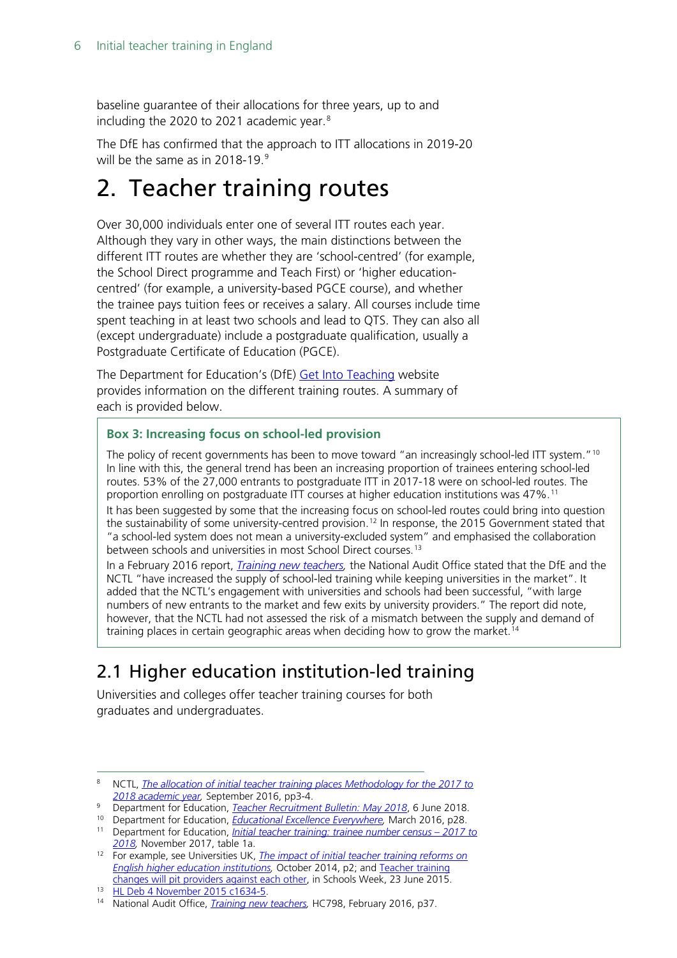baseline guarantee of their allocations for three years, up to and including the 2020 to 2021 academic year.<sup>[8](#page-5-2)</sup>

The DfE has confirmed that the approach to ITT allocations in 2019-20 will be the same as in  $2018-19.9$  $2018-19.9$  $2018-19.9$ 

## <span id="page-5-0"></span>2. Teacher training routes

Over 30,000 individuals enter one of several ITT routes each year. Although they vary in other ways, the main distinctions between the different ITT routes are whether they are 'school-centred' (for example, the School Direct programme and Teach First) or 'higher educationcentred' (for example, a university-based PGCE course), and whether the trainee pays tuition fees or receives a salary. All courses include time spent teaching in at least two schools and lead to QTS. They can also all (except undergraduate) include a postgraduate qualification, usually a Postgraduate Certificate of Education (PGCE).

The Department for Education's (DfE) [Get Into Teaching](https://getintoteaching.education.gov.uk/) website provides information on the different training routes. A summary of each is provided below.

#### **Box 3: Increasing focus on school-led provision**

The policy of recent governments has been to move toward "an increasingly school-led ITT system."<sup>[10](#page-5-4)</sup> In line with this, the general trend has been an increasing proportion of trainees entering school-led routes. 53% of the 27,000 entrants to postgraduate ITT in 2017-18 were on school-led routes. The proportion enrolling on postgraduate ITT courses at higher education institutions was 47%.[11](#page-5-5) It has been suggested by some that the increasing focus on school-led routes could bring into question the sustainability of some university-centred provision.<sup>[12](#page-5-6)</sup> In response, the 2015 Government stated that "a school-led system does not mean a university-excluded system" and emphasised the collaboration between schools and universities in most School Direct courses.<sup>[13](#page-5-7)</sup>

In a February 2016 report, *[Training new teachers,](https://www.nao.org.uk/wp-content/uploads/2016/02/Training-new-teachers.pdf)* the National Audit Office stated that the DfE and the NCTL "have increased the supply of school-led training while keeping universities in the market". It added that the NCTL's engagement with universities and schools had been successful, "with large numbers of new entrants to the market and few exits by university providers." The report did note, however, that the NCTL had not assessed the risk of a mismatch between the supply and demand of training places in certain geographic areas when deciding how to grow the market.[14](#page-5-8)

## <span id="page-5-1"></span>2.1 Higher education institution-led training

Universities and colleges offer teacher training courses for both graduates and undergraduates.

<span id="page-5-2"></span> <sup>8</sup> NCTL, *[The allocation of initial teacher training places Methodology for the 2017 to](https://www.gov.uk/government/uploads/system/uploads/attachment_data/file/556735/The_allocation_of_initial_teacher_training_places_2017-18.pdf)  [2018 academic year,](https://www.gov.uk/government/uploads/system/uploads/attachment_data/file/556735/The_allocation_of_initial_teacher_training_places_2017-18.pdf)* September 2016, pp3-4.

<span id="page-5-4"></span><span id="page-5-3"></span><sup>9</sup> Department for Education, *[Teacher Recruitment Bulletin: May 2018](https://www.gov.uk/government/publications/teacher-recruitment-bulletin/teacher-recruitment-bulletin-may-2018)*, 6 June 2018.

<sup>10</sup> Department for Education, *[Educational Excellence Everywhere,](https://www.gov.uk/government/publications/educational-excellence-everywhere)* March 2016, p28.

<span id="page-5-5"></span><sup>11</sup> Department for Education, *[Initial teacher training: trainee number census –](https://www.gov.uk/government/statistics/initial-teacher-training-trainee-number-census-2017-to-2018) 2017 to [2018,](https://www.gov.uk/government/statistics/initial-teacher-training-trainee-number-census-2017-to-2018)* November 2017, table 1a.

<span id="page-5-6"></span><sup>12</sup> For example, see Universities UK, *[The impact of initial teacher training reforms on](http://www.universitiesuk.ac.uk/policy-and-analysis/reports/Pages/impact-of-initial-teacher-training-reforms.aspx)  [English higher education institutions,](http://www.universitiesuk.ac.uk/policy-and-analysis/reports/Pages/impact-of-initial-teacher-training-reforms.aspx)* October 2014, p2; and [Teacher training](http://schoolsweek.co.uk/nctl-registration-changes-pit-teacher-training-providers-against-each-other/)  [changes will pit providers against each other,](http://schoolsweek.co.uk/nctl-registration-changes-pit-teacher-training-providers-against-each-other/) in Schools Week, 23 June 2015.

<span id="page-5-7"></span><sup>13</sup> [HL Deb 4 November 2015 c1634-5.](https://hansard.parliament.uk/Lords/2015-11-04/debates/15110439000439/TeacherTraining)

<span id="page-5-8"></span><sup>14</sup> National Audit Office, *[Training new teachers,](https://www.nao.org.uk/wp-content/uploads/2016/02/Training-new-teachers.pdf)* HC798, February 2016, p37.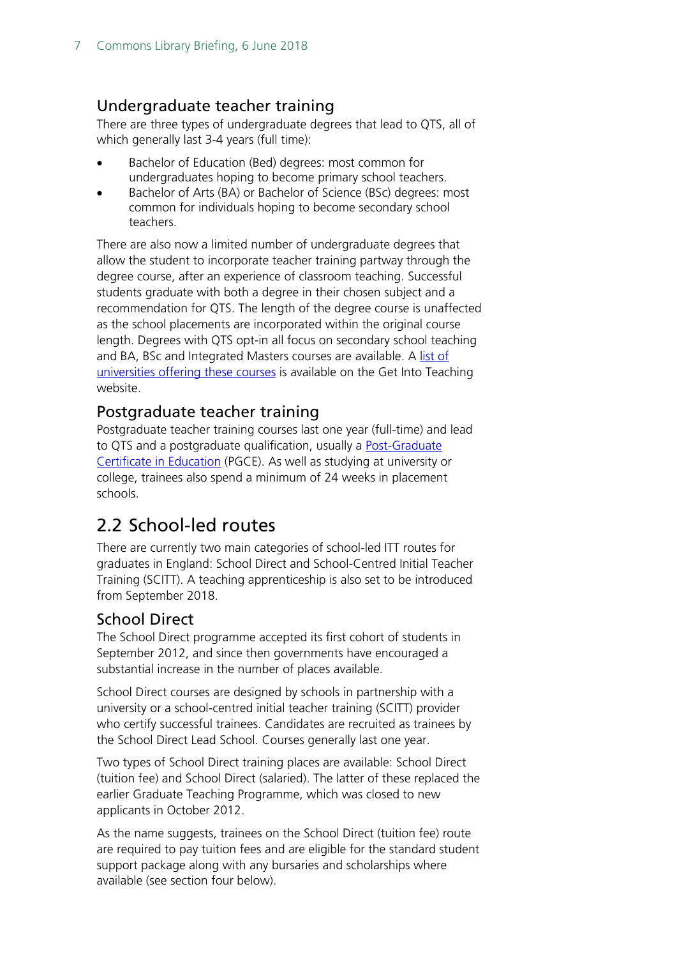#### <span id="page-6-0"></span>Undergraduate teacher training

There are three types of undergraduate degrees that lead to QTS, all of which generally last 3-4 years (full time):

- Bachelor of Education (Bed) degrees: most common for undergraduates hoping to become primary school teachers.
- Bachelor of Arts (BA) or Bachelor of Science (BSc) degrees: most common for individuals hoping to become secondary school teachers.

There are also now a limited number of undergraduate degrees that allow the student to incorporate teacher training partway through the degree course, after an experience of classroom teaching. Successful students graduate with both a degree in their chosen subject and a recommendation for QTS. The length of the degree course is unaffected as the school placements are incorporated within the original course length. Degrees with QTS opt-in all focus on secondary school teaching and BA, BSc and Integrated Masters courses are available. A [list of](https://getintoteaching.education.gov.uk/explore-my-options/teacher-training-routes/university-led-training/university-led-undergraduate-training/degrees-with-opt-in-qts)  [universities offering these courses](https://getintoteaching.education.gov.uk/explore-my-options/teacher-training-routes/university-led-training/university-led-undergraduate-training/degrees-with-opt-in-qts) is available on the Get Into Teaching website.

#### <span id="page-6-1"></span>Postgraduate teacher training

Postgraduate teacher training courses last one year (full-time) and lead to QTS and a postgraduate qualification, usually a [Post-Graduate](https://getintoteaching.education.gov.uk/explore-my-options/teacher-training-routes/pgce)  [Certificate in Education](https://getintoteaching.education.gov.uk/explore-my-options/teacher-training-routes/pgce) (PGCE). As well as studying at university or college, trainees also spend a minimum of 24 weeks in placement schools.

## <span id="page-6-2"></span>2.2 School-led routes

There are currently two main categories of school-led ITT routes for graduates in England: School Direct and School-Centred Initial Teacher Training (SCITT). A teaching apprenticeship is also set to be introduced from September 2018.

#### <span id="page-6-3"></span>School Direct

The School Direct programme accepted its first cohort of students in September 2012, and since then governments have encouraged a substantial increase in the number of places available.

School Direct courses are designed by schools in partnership with a university or a school-centred initial teacher training (SCITT) provider who certify successful trainees. Candidates are recruited as trainees by the School Direct Lead School. Courses generally last one year.

Two types of School Direct training places are available: School Direct (tuition fee) and School Direct (salaried). The latter of these replaced the earlier Graduate Teaching Programme, which was closed to new applicants in October 2012.

As the name suggests, trainees on the School Direct (tuition fee) route are required to pay tuition fees and are eligible for the standard student support package along with any bursaries and scholarships where available (see section four below).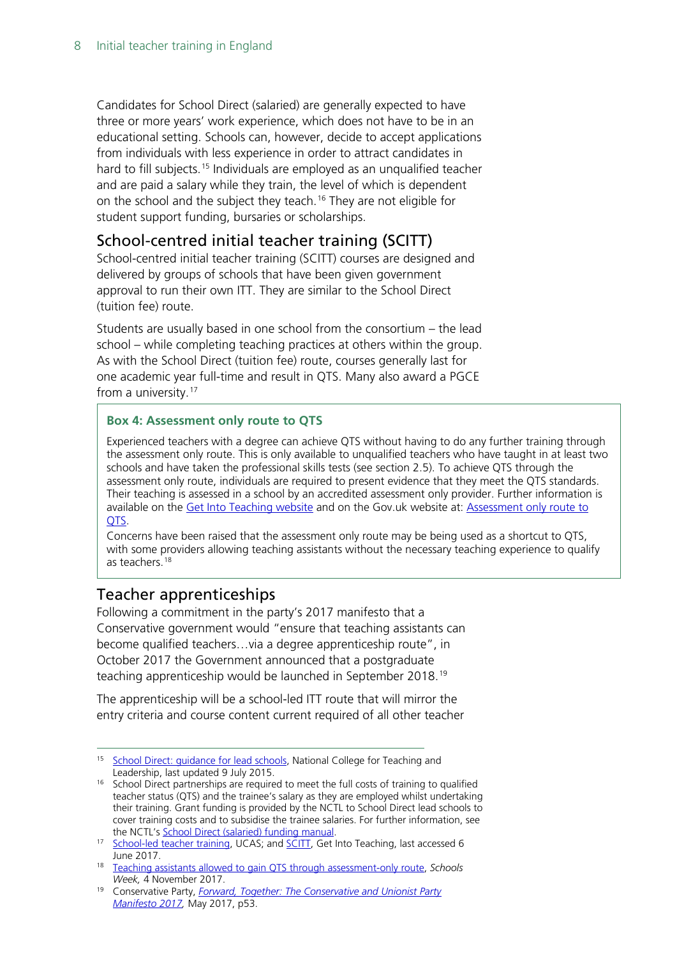Candidates for School Direct (salaried) are generally expected to have three or more years' work experience, which does not have to be in an educational setting. Schools can, however, decide to accept applications from individuals with less experience in order to attract candidates in hard to fill subjects.<sup>[15](#page-7-2)</sup> Individuals are employed as an unqualified teacher and are paid a salary while they train, the level of which is dependent on the school and the subject they teach.<sup>[16](#page-7-3)</sup> They are not eligible for student support funding, bursaries or scholarships.

#### <span id="page-7-0"></span>School-centred initial teacher training (SCITT)

School-centred initial teacher training (SCITT) courses are designed and delivered by groups of schools that have been given government approval to run their own ITT. They are similar to the School Direct (tuition fee) route.

Students are usually based in one school from the consortium – the lead school – while completing teaching practices at others within the group. As with the School Direct (tuition fee) route, courses generally last for one academic year full-time and result in QTS. Many also award a PGCE from a university.<sup>[17](#page-7-4)</sup>

#### **Box 4: Assessment only route to QTS**

Experienced teachers with a degree can achieve QTS without having to do any further training through the assessment only route. This is only available to unqualified teachers who have taught in at least two schools and have taken the professional skills tests (see section 2.5). To achieve QTS through the assessment only route, individuals are required to present evidence that they meet the QTS standards. Their teaching is assessed in a school by an accredited assessment only provider. Further information is available on the [Get Into Teaching website](https://getintoteaching.education.gov.uk/explore-my-options/teacher-training-routes/specialist-training-options/assessment-only) and on the Gov.uk website at: [Assessment only route to](https://www.gov.uk/government/publications/the-assessment-only-route-to-qts)  [QTS.](https://www.gov.uk/government/publications/the-assessment-only-route-to-qts)

Concerns have been raised that the assessment only route may be being used as a shortcut to QTS, with some providers allowing teaching assistants without the necessary teaching experience to qualify as teachers.[18](#page-7-6)

#### <span id="page-7-1"></span>Teacher apprenticeships

Following a commitment in the party's 2017 manifesto that a Conservative government would "ensure that teaching assistants can become qualified teachers…via a degree apprenticeship route", in October 2017 the Government announced that a postgraduate teaching apprenticeship would be launched in September 2018.<sup>[19](#page-7-5)</sup>

The apprenticeship will be a school-led ITT route that will mirror the entry criteria and course content current required of all other teacher

<span id="page-7-2"></span><sup>&</sup>lt;sup>15</sup> School Direct: quidance for lead schools, National College for Teaching and Leadership, last updated 9 July 2015.

<span id="page-7-3"></span><sup>&</sup>lt;sup>16</sup> School Direct partnerships are required to meet the full costs of training to qualified teacher status (QTS) and the trainee's salary as they are employed whilst undertaking their training. Grant funding is provided by the NCTL to School Direct lead schools to cover training costs and to subsidise the trainee salaries. For further information, see the NCTL's [School Direct \(salaried\) funding manual.](https://www.gov.uk/government/uploads/system/uploads/attachment_data/file/556660/school-direct-funding-manual-2017-to-2018.pdf)

<span id="page-7-4"></span><sup>17</sup> [School-led teacher training,](http://www.ucas.com/how-it-all-works/teacher-training/postgraduate-routes-teaching/training-in-schools) UCAS; and [SCITT,](https://getintoteaching.education.gov.uk/explore-my-options/training/scitt) Get Into Teaching, last accessed 6 June 2017.

<span id="page-7-6"></span><sup>18</sup> [Teaching assistants allowed to gain QTS through assessment-only route,](https://schoolsweek.co.uk/teaching-assistants-allowed-to-gain-qts-through-assessment-only-route/) *Schools Week,* 4 November 2017.

<span id="page-7-5"></span><sup>19</sup> Conservative Party, *[Forward, Together: The Conservative and Unionist Party](https://s3.eu-west-2.amazonaws.com/manifesto2017/Manifesto2017.pdf)  [Manifesto 2017,](https://s3.eu-west-2.amazonaws.com/manifesto2017/Manifesto2017.pdf)* May 2017, p53.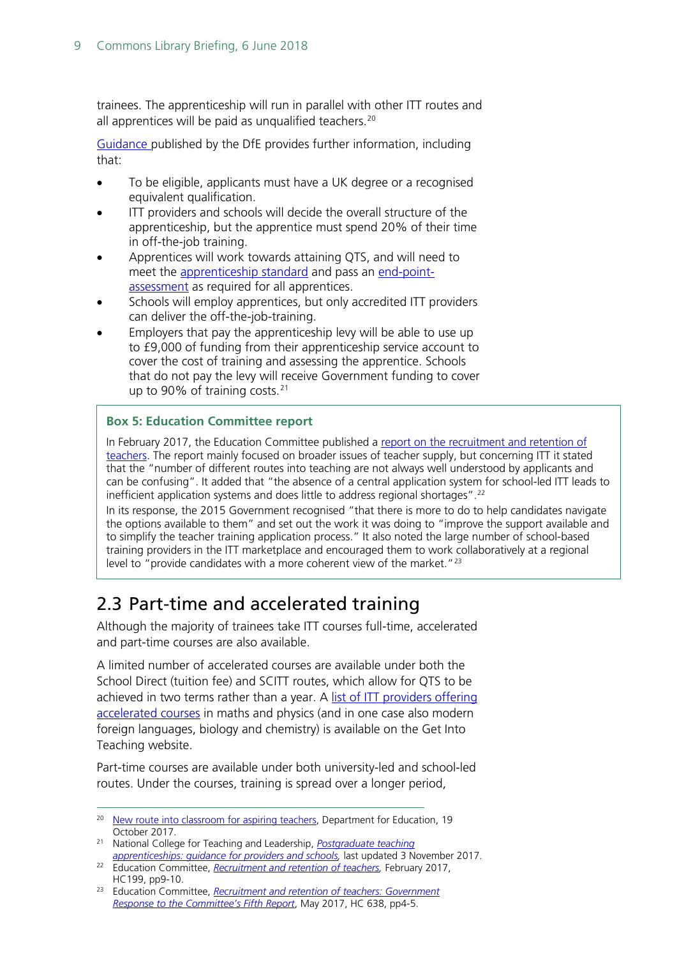trainees. The apprenticeship will run in parallel with other ITT routes and all apprentices will be paid as unqualified teachers.<sup>[20](#page-8-1)</sup>

[Guidance p](https://www.gov.uk/guidance/postgraduate-teaching-apprenticeships-guidance-for-providers)ublished by the DfE provides further information, including that:

- To be eligible, applicants must have a UK degree or a recognised equivalent qualification.
- ITT providers and schools will decide the overall structure of the apprenticeship, but the apprentice must spend 20% of their time in off-the-job training.
- Apprentices will work towards attaining QTS, and will need to meet the [apprenticeship standard](https://www.gov.uk/government/publications/apprenticeship-standard-teacher-approved-for-delivery) and pass an [end-point](file://hpap03f/DIS/Shares/Publications/Standard%20Notes/Final%20-%20SPS/v)[assessment](file://hpap03f/DIS/Shares/Publications/Standard%20Notes/Final%20-%20SPS/v) as required for all apprentices.
- Schools will employ apprentices, but only accredited ITT providers can deliver the off-the-job-training.
- Employers that pay the apprenticeship levy will be able to use up to £9,000 of funding from their apprenticeship service account to cover the cost of training and assessing the apprentice. Schools that do not pay the levy will receive Government funding to cover up to 90% of training costs. $21$

#### **Box 5: Education Committee report**

In February 2017, the Education Committee published a report on the recruitment and retention of [teachers.](https://www.publications.parliament.uk/pa/cm201617/cmselect/cmeduc/638/638.pdf) The report mainly focused on broader issues of teacher supply, but concerning ITT it stated that the "number of different routes into teaching are not always well understood by applicants and can be confusing". It added that "the absence of a central application system for school-led ITT leads to inefficient application systems and does little to address regional shortages".<sup>[22](#page-8-3)</sup>

In its response, the 2015 Government recognised "that there is more to do to help candidates navigate the options available to them" and set out the work it was doing to "improve the support available and to simplify the teacher training application process." It also noted the large number of school-based training providers in the ITT marketplace and encouraged them to work collaboratively at a regional level to "provide candidates with a more coherent view of the market."<sup>[23](#page-8-4)</sup>

### <span id="page-8-0"></span>2.3 Part-time and accelerated training

Although the majority of trainees take ITT courses full-time, accelerated and part-time courses are also available.

A limited number of accelerated courses are available under both the School Direct (tuition fee) and SCITT routes, which allow for QTS to be achieved in two terms rather than a year. A list of ITT providers offering [accelerated courses](https://getintoteaching.education.gov.uk/explore-my-options/teacher-training-routes/accelerated-courses) in maths and physics (and in one case also modern foreign languages, biology and chemistry) is available on the Get Into Teaching website.

Part-time courses are available under both university-led and school-led routes. Under the courses, training is spread over a longer period,

<span id="page-8-1"></span><sup>&</sup>lt;sup>20</sup> [New route into classroom for aspiring teachers,](https://www.gov.uk/government/news/new-route-into-classroom-for-aspiring-teachers) Department for Education, 19 October 2017.

<span id="page-8-2"></span><sup>21</sup> National College for Teaching and Leadership, *[Postgraduate teaching](https://www.gov.uk/guidance/postgraduate-teaching-apprenticeships-guidance-for-providers)  [apprenticeships: guidance for providers and schools,](https://www.gov.uk/guidance/postgraduate-teaching-apprenticeships-guidance-for-providers)* last updated 3 November 2017.

<span id="page-8-3"></span><sup>&</sup>lt;sup>22</sup> Education Committee, *Recruitment and retention of teachers*, February 2017, HC199, pp9-10.

<span id="page-8-4"></span><sup>23</sup> Education Committee, *Recruitment [and retention of teachers: Government](https://www.publications.parliament.uk/pa/cm201617/cmselect/cmeduc/638/638.pdf)  [Response to the Committee's Fifth Report](https://www.publications.parliament.uk/pa/cm201617/cmselect/cmeduc/638/638.pdf)*, May 2017, HC 638, pp4-5.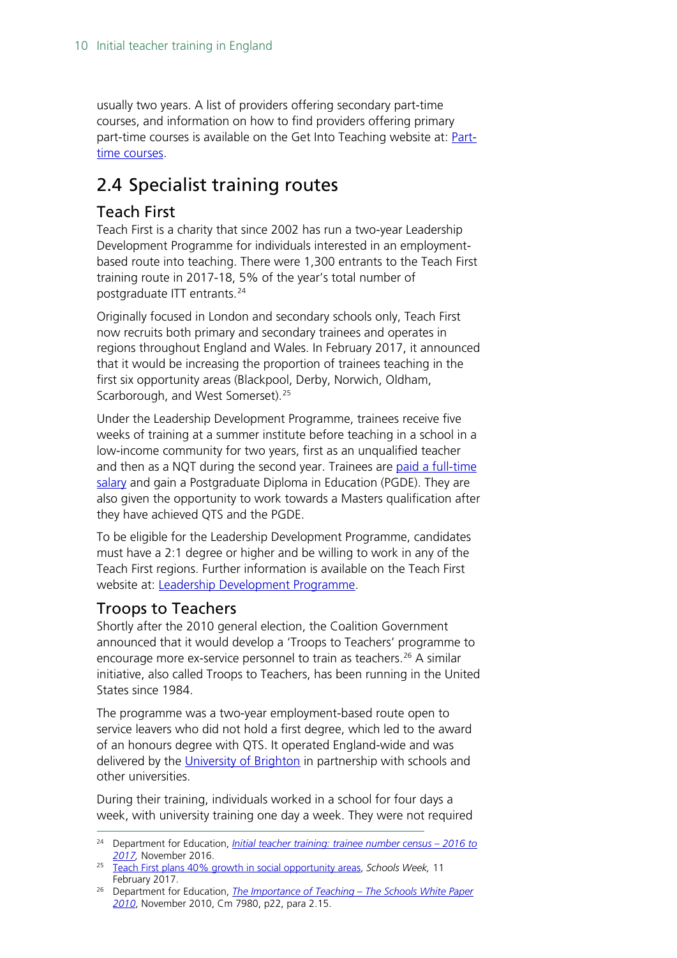usually two years. A list of providers offering secondary part-time courses, and information on how to find providers offering primary part-time courses is available on the Get Into Teaching website at: **Part**[time courses.](https://getintoteaching.education.gov.uk/explore-my-options/teacher-training-routes/part-time-courses)

## <span id="page-9-0"></span>2.4 Specialist training routes

#### <span id="page-9-1"></span>Teach First

Teach First is a charity that since 2002 has run a two-year Leadership Development Programme for individuals interested in an employmentbased route into teaching. There were 1,300 entrants to the Teach First training route in 2017-18, 5% of the year's total number of postgraduate ITT entrants.[24](#page-9-3)

Originally focused in London and secondary schools only, Teach First now recruits both primary and secondary trainees and operates in regions throughout England and Wales. In February 2017, it announced that it would be increasing the proportion of trainees teaching in the first six opportunity areas (Blackpool, Derby, Norwich, Oldham, Scarborough, and West Somerset).<sup>[25](#page-9-4)</sup>

Under the Leadership Development Programme, trainees receive five weeks of training at a summer institute before teaching in a school in a low-income community for two years, first as an unqualified teacher and then as a NQT during the second year. Trainees are paid a full-time [salary](http://graduates.teachfirst.org.uk/leadership-development-programme/salary-benefits) and gain a Postgraduate Diploma in Education (PGDE). They are also given the opportunity to work towards a Masters qualification after they have achieved QTS and the PGDE.

To be eligible for the Leadership Development Programme, candidates must have a 2:1 degree or higher and be willing to work in any of the Teach First regions. Further information is available on the Teach First website at: [Leadership Development Programme.](http://graduates.teachfirst.org.uk/leadership-development-programme)

#### <span id="page-9-2"></span>Troops to Teachers

Shortly after the 2010 general election, the Coalition Government announced that it would develop a 'Troops to Teachers' programme to encourage more ex-service personnel to train as teachers.<sup>[26](#page-9-5)</sup> A similar initiative, also called Troops to Teachers, has been running in the United States since 1984.

The programme was a two-year employment-based route open to service leavers who did not hold a first degree, which led to the award of an honours degree with QTS. It operated England-wide and was delivered by the [University of Brighton](https://www.brighton.ac.uk/courses/study/troops-to-teachers-non-graduate-programme.aspx) in partnership with schools and other universities.

During their training, individuals worked in a school for four days a week, with university training one day a week. They were not required

<span id="page-9-3"></span> <sup>24</sup> Department for Education, *[Initial teacher training: trainee number census –](https://www.gov.uk/government/statistics/initial-teacher-training-trainee-number-census-2016-to-2017) 2016 to [2017,](https://www.gov.uk/government/statistics/initial-teacher-training-trainee-number-census-2016-to-2017)* November 2016.

<span id="page-9-4"></span><sup>25</sup> [Teach First plans 40% growth in social opportunity areas,](http://schoolsweek.co.uk/teach-first-to-move-40-of-trainees-to-social-opportunity-areas/) *Schools Week,* 11 February 2017.

<span id="page-9-5"></span><sup>26</sup> Department for Education, *[The Importance of Teaching –](https://www.education.gov.uk/publications/eOrderingDownload/CM-7980.pdf) The Schools White Paper [2010](https://www.education.gov.uk/publications/eOrderingDownload/CM-7980.pdf)*, November 2010, Cm 7980, p22, para 2.15.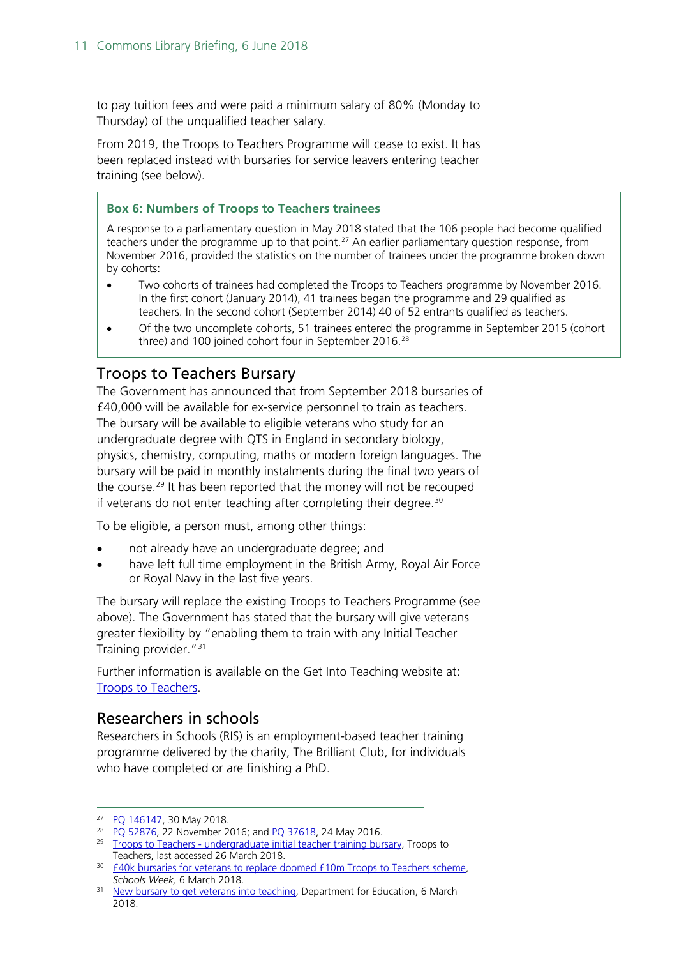to pay tuition fees and were paid a minimum salary of 80% (Monday to Thursday) of the unqualified teacher salary.

From 2019, the Troops to Teachers Programme will cease to exist. It has been replaced instead with bursaries for service leavers entering teacher training (see below).

#### **Box 6: Numbers of Troops to Teachers trainees**

A response to a parliamentary question in May 2018 stated that the 106 people had become qualified teachers under the programme up to that point.<sup>27</sup> An earlier parliamentary question response, from November 2016, provided the statistics on the number of trainees under the programme broken down by cohorts:

- Two cohorts of trainees had completed the Troops to Teachers programme by November 2016. In the first cohort (January 2014), 41 trainees began the programme and 29 qualified as teachers. In the second cohort (September 2014) 40 of 52 entrants qualified as teachers.
- Of the two uncomplete cohorts, 51 trainees entered the programme in September 2015 (cohort three) and 100 joined cohort four in September 2016.<sup>[28](#page-10-6)</sup>

#### <span id="page-10-0"></span>Troops to Teachers Bursary

The Government has announced that from September 2018 bursaries of £40,000 will be available for ex-service personnel to train as teachers. The bursary will be available to eligible veterans who study for an undergraduate degree with QTS in England in secondary biology, physics, chemistry, computing, maths or modern foreign languages. The bursary will be paid in monthly instalments during the final two years of the course.<sup>[29](#page-10-2)</sup> It has been reported that the money will not be recouped if veterans do not enter teaching after completing their degree. $30$ 

To be eligible, a person must, among other things:

- not already have an undergraduate degree; and
- have left full time employment in the British Army, Royal Air Force or Royal Navy in the last five years.

The bursary will replace the existing Troops to Teachers Programme (see above). The Government has stated that the bursary will give veterans greater flexibility by "enabling them to train with any Initial Teacher Training provider."[31](#page-10-4)

Further information is available on the Get Into Teaching website at: [Troops to Teachers.](https://getintoteaching.education.gov.uk/explore-my-options/teacher-training-routes/specialist-training-options/troops-to-teachers)

#### <span id="page-10-1"></span>Researchers in schools

Researchers in Schools (RIS) is an employment-based teacher training programme delivered by the charity, The Brilliant Club, for individuals who have completed or are finishing a PhD.

<span id="page-10-5"></span><sup>&</sup>lt;sup>27</sup> [PQ 146147,](https://www.parliament.uk/written-questions-answers-statements/written-question/commons/2018-05-21/146147) 30 May 2018.

<span id="page-10-6"></span><sup>&</sup>lt;sup>28</sup> PQ [52876,](http://www.parliament.uk/written-questions-answers-statements/written-question/commons/2016-11-14/52876) 22 November 2016; and [PQ 37618,](http://www.parliament.uk/written-questions-answers-statements/written-question/commons/2016-05-19/37618) 24 May 2016.

<span id="page-10-2"></span><sup>&</sup>lt;sup>29</sup> Troops to Teachers - [undergraduate initial teacher training bursary,](https://getintoteaching.education.gov.uk/explore-my-options/teacher-training-routes/university-led-training/university-led-undergraduate-training/troops-bursary) Troops to Teachers, last accessed 26 March 2018.

<span id="page-10-3"></span><sup>&</sup>lt;sup>30</sup> [£40k bursaries for veterans to replace doomed £10m Troops to Teachers scheme,](https://schoolsweek.co.uk/40k-bursaries-for-veterans-to-replace-doomed-10m-troops-to-teachers-scheme/) *Schools Week,* 6 March 2018.

<span id="page-10-4"></span><sup>&</sup>lt;sup>31</sup> [New bursary to get veterans into teaching,](https://www.gov.uk/government/news/new-bursary-to-get-veterans-into-teaching) Department for Education, 6 March 2018.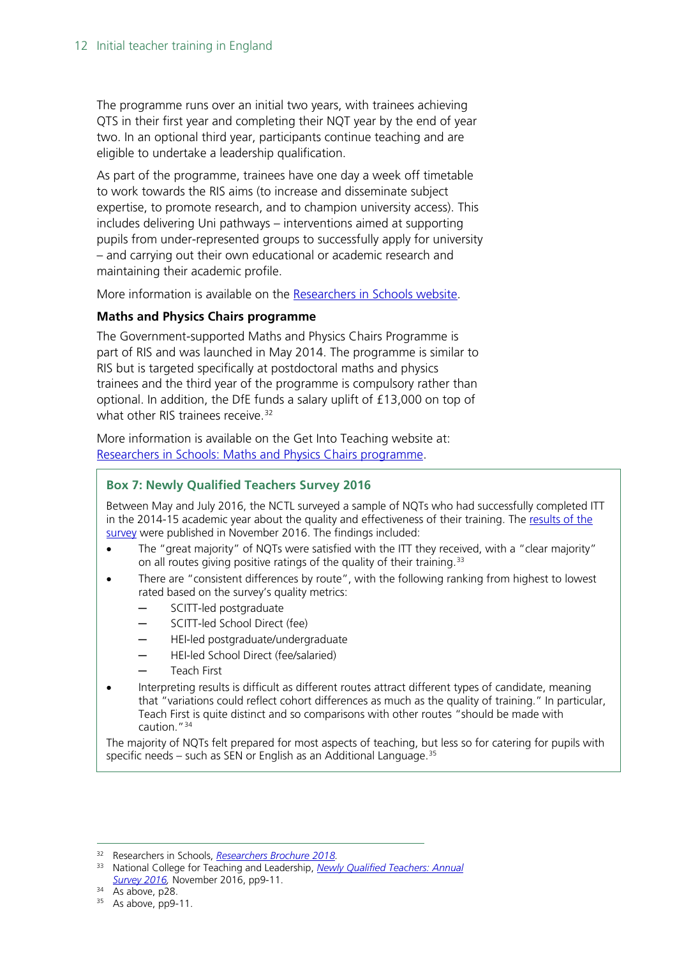The programme runs over an initial two years, with trainees achieving QTS in their first year and completing their NQT year by the end of year two. In an optional third year, participants continue teaching and are eligible to undertake a leadership qualification.

As part of the programme, trainees have one day a week off timetable to work towards the RIS aims (to increase and disseminate subject expertise, to promote research, and to champion university access). This includes delivering Uni pathways – interventions aimed at supporting pupils from under-represented groups to successfully apply for university – and carrying out their own educational or academic research and maintaining their academic profile.

More information is available on the [Researchers in Schools website.](http://www.researchersinschools.org/our-work/programme-overview/)

#### **Maths and Physics Chairs programme**

The Government-supported Maths and Physics Chairs Programme is part of RIS and was launched in May 2014. The programme is similar to RIS but is targeted specifically at postdoctoral maths and physics trainees and the third year of the programme is compulsory rather than optional. In addition, the DfE funds a salary uplift of £13,000 on top of what other RIS trainees receive.<sup>[32](#page-11-0)</sup>

More information is available on the Get Into Teaching website at: [Researchers in Schools: Maths and Physics Chairs programme.](https://getintoteaching.education.gov.uk/explore-my-options/teacher-training-routes/specialist-training-options/researchers-in-schools)

#### **Box 7: Newly Qualified Teachers Survey 2016**

Between May and July 2016, the NCTL surveyed a sample of NQTs who had successfully completed ITT in the 2014-15 academic year about the quality and effectiveness of their training. The [results of the](https://www.gov.uk/government/publications/newly-qualified-teachers-nqts-annual-survey-2016)  [survey](https://www.gov.uk/government/publications/newly-qualified-teachers-nqts-annual-survey-2016) were published in November 2016. The findings included:

- The "great majority" of NQTs were satisfied with the ITT they received, with a "clear majority" on all routes giving positive ratings of the quality of their training.<sup>[33](#page-11-1)</sup>
- There are "consistent differences by route", with the following ranking from highest to lowest rated based on the survey's quality metrics:
	- ─ SCITT-led postgraduate
	- SCITT-led School Direct (fee)
	- HEI-led postgraduate/undergraduate
	- ─ HEI-led School Direct (fee/salaried)
	- ─ Teach First
- Interpreting results is difficult as different routes attract different types of candidate, meaning that "variations could reflect cohort differences as much as the quality of training." In particular, Teach First is quite distinct and so comparisons with other routes "should be made with caution."[34](#page-11-2)

The majority of NQTs felt prepared for most aspects of teaching, but less so for catering for pupils with specific needs – such as SEN or English as an Additional Language. $35$ 

<span id="page-11-1"></span><span id="page-11-0"></span> <sup>32</sup> Researchers in Schools, *[Researchers Brochure 2018.](http://www.researchersinschools.org/wp-content/uploads/2016/11/RIS-Researchers-Brochure-2018.pdf)*

<sup>33</sup> National College for Teaching and Leadership, *[Newly Qualified Teachers: Annual](https://www.gov.uk/government/publications/newly-qualified-teachers-nqts-annual-survey-2016)  [Survey 2016,](https://www.gov.uk/government/publications/newly-qualified-teachers-nqts-annual-survey-2016)* November 2016, pp9-11.

<span id="page-11-2"></span> $34$  As above, p28.

<span id="page-11-3"></span><sup>&</sup>lt;sup>35</sup> As above, pp9-11.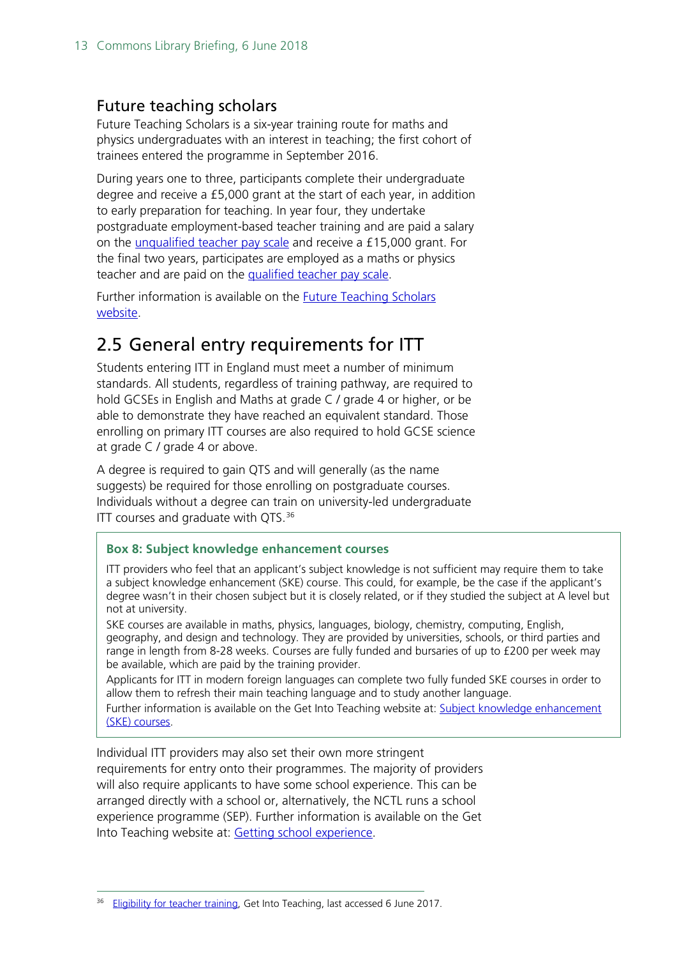#### <span id="page-12-0"></span>Future teaching scholars

Future Teaching Scholars is a six-year training route for maths and physics undergraduates with an interest in teaching; the first cohort of trainees entered the programme in September 2016.

During years one to three, participants complete their undergraduate degree and receive a £5,000 grant at the start of each year, in addition to early preparation for teaching. In year four, they undertake postgraduate employment-based teacher training and are paid a salary on the [unqualified teacher pay scale](https://getintoteaching.education.gov.uk/funding-and-salary/teacher-salaries) and receive a £15,000 grant. For the final two years, participates are employed as a maths or physics teacher and are paid on the [qualified teacher pay scale.](https://getintoteaching.education.gov.uk/funding-and-salary/teacher-salaries)

Further information is available on the [Future Teaching Scholars](https://www.futureteachingscholars.com/programme)  [website.](https://www.futureteachingscholars.com/programme)

### <span id="page-12-1"></span>2.5 General entry requirements for ITT

Students entering ITT in England must meet a number of minimum standards. All students, regardless of training pathway, are required to hold GCSEs in English and Maths at grade C / grade 4 or higher, or be able to demonstrate they have reached an equivalent standard. Those enrolling on primary ITT courses are also required to hold GCSE science at grade C / grade 4 or above.

A degree is required to gain QTS and will generally (as the name suggests) be required for those enrolling on postgraduate courses. Individuals without a degree can train on university-led undergraduate ITT courses and graduate with OTS.<sup>[36](#page-12-2)</sup>

#### **Box 8: Subject knowledge enhancement courses**

ITT providers who feel that an applicant's subject knowledge is not sufficient may require them to take a subject knowledge enhancement (SKE) course. This could, for example, be the case if the applicant's degree wasn't in their chosen subject but it is closely related, or if they studied the subject at A level but not at university.

SKE courses are available in maths, physics, languages, biology, chemistry, computing, English, geography, and design and technology. They are provided by universities, schools, or third parties and range in length from 8-28 weeks. Courses are fully funded and bursaries of up to £200 per week may be available, which are paid by the training provider.

Applicants for ITT in modern foreign languages can complete two fully funded SKE courses in order to allow them to refresh their main teaching language and to study another language.

Further information is available on the Get Into Teaching website at: [Subject knowledge enhancement](https://getintoteaching.education.gov.uk/explore-my-options/teacher-training-routes/subject-knowledge-enhancement-ske-courses)  [\(SKE\) courses.](https://getintoteaching.education.gov.uk/explore-my-options/teacher-training-routes/subject-knowledge-enhancement-ske-courses)

Individual ITT providers may also set their own more stringent requirements for entry onto their programmes. The majority of providers will also require applicants to have some school experience. This can be arranged directly with a school or, alternatively, the NCTL runs a school experience programme (SEP). Further information is available on the Get Into Teaching website at: [Getting school experience.](https://getintoteaching.education.gov.uk/school-experience)

<span id="page-12-2"></span><sup>&</sup>lt;sup>36</sup> [Eligibility for teacher training,](https://getintoteaching.education.gov.uk/eligibility-for-teacher-training) Get Into Teaching, last accessed 6 June 2017.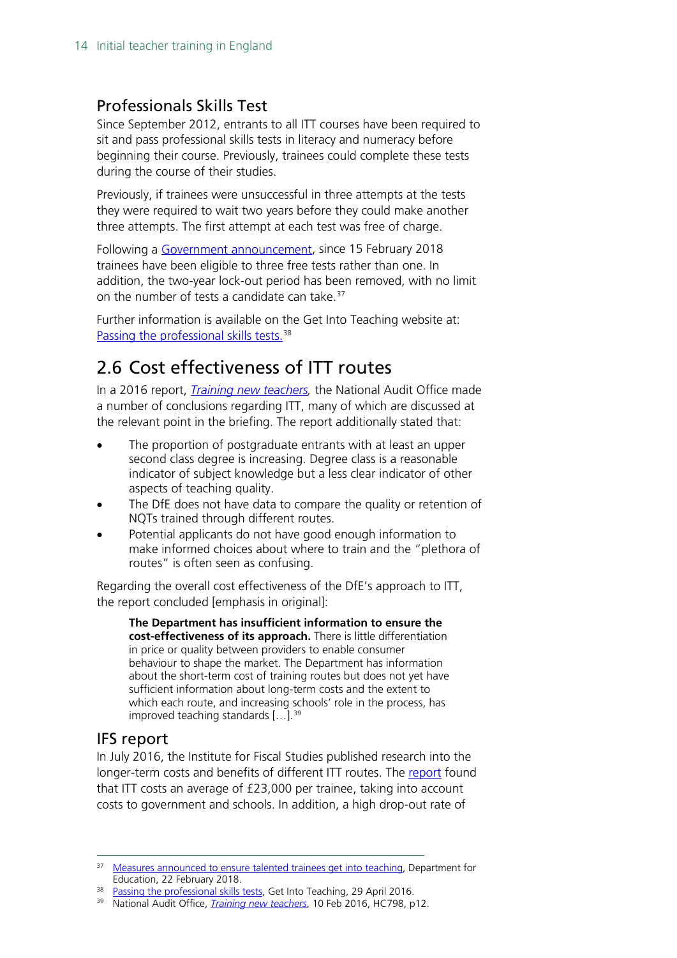#### <span id="page-13-0"></span>Professionals Skills Test

Since September 2012, entrants to all ITT courses have been required to sit and pass professional skills tests in literacy and numeracy before beginning their course. Previously, trainees could complete these tests during the course of their studies.

Previously, if trainees were unsuccessful in three attempts at the tests they were required to wait two years before they could make another three attempts. The first attempt at each test was free of charge.

Following a [Government announcement,](https://www.gov.uk/government/news/measures-announced-to-ensure-talented-trainees-get-into-teaching) since 15 February 2018 trainees have been eligible to three free tests rather than one. In addition, the two-year lock-out period has been removed, with no limit on the number of tests a candidate can take. $37$ 

Further information is available on the Get Into Teaching website at: [Passing the professional skills tests.](https://getintoteaching.education.gov.uk/how-to-apply/passing-the-skills-tests)<sup>[38](#page-13-4)</sup>

## <span id="page-13-1"></span>2.6 Cost effectiveness of ITT routes

In a 2016 report, *[Training new teachers,](https://www.nao.org.uk/wp-content/uploads/2016/02/Training-new-teachers.pdf)* the National Audit Office made a number of conclusions regarding ITT, many of which are discussed at the relevant point in the briefing. The report additionally stated that:

- The proportion of postgraduate entrants with at least an upper second class degree is increasing. Degree class is a reasonable indicator of subject knowledge but a less clear indicator of other aspects of teaching quality.
- The DfE does not have data to compare the quality or retention of NQTs trained through different routes.
- Potential applicants do not have good enough information to make informed choices about where to train and the "plethora of routes" is often seen as confusing.

Regarding the overall cost effectiveness of the DfE's approach to ITT, the report concluded [emphasis in original]:

**The Department has insufficient information to ensure the cost-effectiveness of its approach.** There is little differentiation in price or quality between providers to enable consumer behaviour to shape the market. The Department has information about the short-term cost of training routes but does not yet have sufficient information about long-term costs and the extent to which each route, and increasing schools' role in the process, has improved teaching standards [...].<sup>[39](#page-13-5)</sup>

#### <span id="page-13-2"></span>IFS report

In July 2016, the Institute for Fiscal Studies published research into the longer-term costs and benefits of different ITT routes. The [report](https://www.ifs.org.uk/publications/8368) found that ITT costs an average of £23,000 per trainee, taking into account costs to government and schools. In addition, a high drop-out rate of

<span id="page-13-3"></span><sup>&</sup>lt;sup>37</sup> [Measures announced to ensure talented trainees get into teaching,](https://www.gov.uk/government/news/measures-announced-to-ensure-talented-trainees-get-into-teaching%5d) Department for Education, 22 February 2018.

<span id="page-13-4"></span><sup>&</sup>lt;sup>38</sup> [Passing the professional skills tests,](https://getintoteaching.education.gov.uk/how-to-apply/passing-the-skills-tests) Get Into Teaching, 29 April 2016.

<span id="page-13-5"></span><sup>39</sup> National Audit Office, *[Training new teachers](https://www.nao.org.uk/wp-content/uploads/2016/02/Training-new-teachers.pdf)*, 10 Feb 2016, HC798, p12.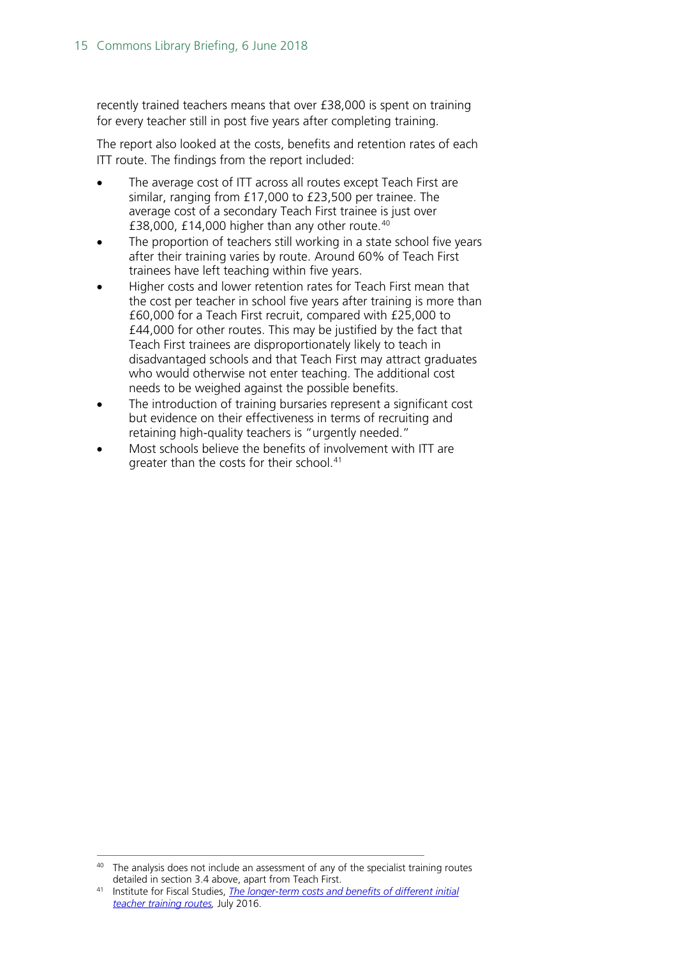recently trained teachers means that over £38,000 is spent on training for every teacher still in post five years after completing training.

The report also looked at the costs, benefits and retention rates of each ITT route. The findings from the report included:

- The average cost of ITT across all routes except Teach First are similar, ranging from £17,000 to £23,500 per trainee. The average cost of a secondary Teach First trainee is just over £38,000, £14,000 higher than any other route. $40$
- The proportion of teachers still working in a state school five years after their training varies by route. Around 60% of Teach First trainees have left teaching within five years.
- Higher costs and lower retention rates for Teach First mean that the cost per teacher in school five years after training is more than £60,000 for a Teach First recruit, compared with £25,000 to £44,000 for other routes. This may be justified by the fact that Teach First trainees are disproportionately likely to teach in disadvantaged schools and that Teach First may attract graduates who would otherwise not enter teaching. The additional cost needs to be weighed against the possible benefits.
- The introduction of training bursaries represent a significant cost but evidence on their effectiveness in terms of recruiting and retaining high-quality teachers is "urgently needed."
- Most schools believe the benefits of involvement with ITT are greater than the costs for their school.<sup>[41](#page-14-1)</sup>

<span id="page-14-0"></span><sup>&</sup>lt;sup>40</sup> The analysis does not include an assessment of any of the specialist training routes detailed in section  $3.4$  above, apart from Teach First.

<span id="page-14-1"></span><sup>&</sup>lt;sup>41</sup> Institute for Fiscal Studies. The longer-term costs and benefits of different initial *[teacher training routes,](https://www.ifs.org.uk/publications/8368)* July 2016.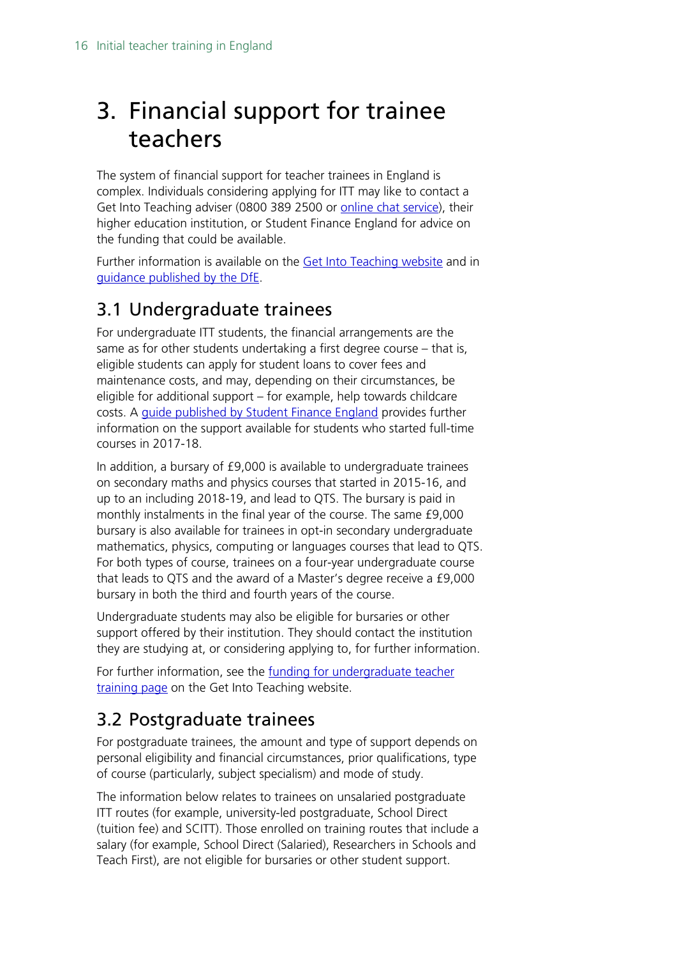## <span id="page-15-0"></span>3. Financial support for trainee teachers

The system of financial support for teacher trainees in England is complex. Individuals considering applying for ITT may like to contact a Get Into Teaching adviser (0800 389 2500 or [online chat service\)](https://ta-chat.education.gov.uk/chat/chatstart.aspx?domain=www.education.gov.uk&department=GetIntoTeaching%27,%27new_win%27,%27width=0,height=0%27);return%20false;%22&SID=0), their higher education institution, or Student Finance England for advice on the funding that could be available.

Further information is available on the [Get Into Teaching website](https://getintoteaching.education.gov.uk/funding-and-salary/overview) and in [guidance published by the DfE.](https://www.gov.uk/guidance/funding-initial-teacher-training-itt-academic-year-2018-to-19?utm_source=1210ad71-95d5-46fa-a971-e20bb9bc4ced&utm_medium=email&utm_campaign=govuk-notifications&utm_content=immediate#tuition-fee-routes)

## <span id="page-15-1"></span>3.1 Undergraduate trainees

For undergraduate ITT students, the financial arrangements are the same as for other students undertaking a first degree course – that is, eligible students can apply for student loans to cover fees and maintenance costs, and may, depending on their circumstances, be eligible for additional support – for example, help towards childcare costs. A [guide published by Student Finance England](http://www.practitioners.slc.co.uk/media/1246/sfe_new_ft_students_guide_1718_d.pdf) provides further information on the support available for students who started full-time courses in 2017-18.

In addition, a bursary of £9,000 is available to undergraduate trainees on secondary maths and physics courses that started in 2015-16, and up to an including 2018-19, and lead to QTS. The bursary is paid in monthly instalments in the final year of the course. The same £9,000 bursary is also available for trainees in opt-in secondary undergraduate mathematics, physics, computing or languages courses that lead to QTS. For both types of course, trainees on a four-year undergraduate course that leads to QTS and the award of a Master's degree receive a £9,000 bursary in both the third and fourth years of the course.

Undergraduate students may also be eligible for bursaries or other support offered by their institution. They should contact the institution they are studying at, or considering applying to, for further information.

For further information, see the [funding for undergraduate teacher](https://getintoteaching.education.gov.uk/explore-my-options/teacher-training-routes/university-led-training/university-led-undergraduate-training/funding-for-undergraduate-teacher-training)  [training page](https://getintoteaching.education.gov.uk/explore-my-options/teacher-training-routes/university-led-training/university-led-undergraduate-training/funding-for-undergraduate-teacher-training) on the Get Into Teaching website.

## <span id="page-15-2"></span>3.2 Postgraduate trainees

For postgraduate trainees, the amount and type of support depends on personal eligibility and financial circumstances, prior qualifications, type of course (particularly, subject specialism) and mode of study.

The information below relates to trainees on unsalaried postgraduate ITT routes (for example, university-led postgraduate, School Direct (tuition fee) and SCITT). Those enrolled on training routes that include a salary (for example, School Direct (Salaried), Researchers in Schools and Teach First), are not eligible for bursaries or other student support.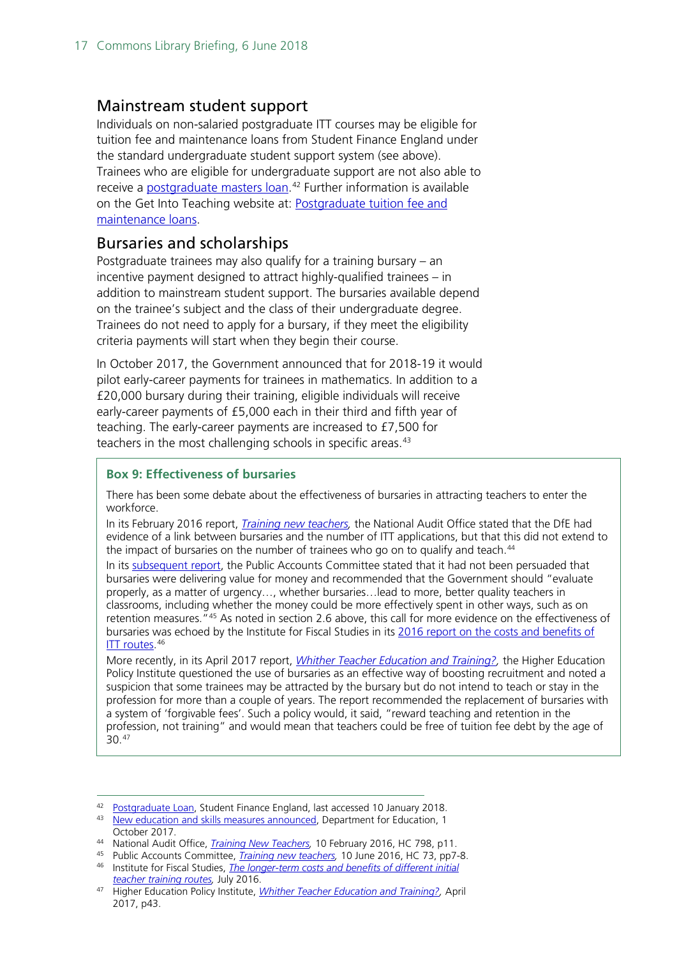#### <span id="page-16-0"></span>Mainstream student support

Individuals on non-salaried postgraduate ITT courses may be eligible for tuition fee and maintenance loans from Student Finance England under the standard undergraduate student support system (see above). Trainees who are eligible for undergraduate support are not also able to receive a [postgraduate masters loan.](http://researchbriefings.parliament.uk/ResearchBriefing/Summary/SN07049)<sup>[42](#page-16-2)</sup> Further information is available on the Get Into Teaching website at: [Postgraduate tuition fee and](https://getintoteaching.education.gov.uk/funding-and-salary/overview/postgraduate-loans)  [maintenance loans.](https://getintoteaching.education.gov.uk/funding-and-salary/overview/postgraduate-loans)

#### <span id="page-16-1"></span>Bursaries and scholarships

Postgraduate trainees may also qualify for a training bursary – an incentive payment designed to attract highly-qualified trainees – in addition to mainstream student support. The bursaries available depend on the trainee's subject and the class of their undergraduate degree. Trainees do not need to apply for a bursary, if they meet the eligibility criteria payments will start when they begin their course.

In October 2017, the Government announced that for 2018-19 it would pilot early-career payments for trainees in mathematics. In addition to a £20,000 bursary during their training, eligible individuals will receive early-career payments of £5,000 each in their third and fifth year of teaching. The early-career payments are increased to £7,500 for teachers in the most challenging schools in specific areas.<sup>[43](#page-16-3)</sup>

#### **Box 9: Effectiveness of bursaries**

There has been some debate about the effectiveness of bursaries in attracting teachers to enter the workforce.

In its February 2016 report, *[Training new teachers,](https://www.nao.org.uk/report/training-new-teachers/)* the National Audit Office stated that the DfE had evidence of a link between bursaries and the number of ITT applications, but that this did not extend to the impact of bursaries on the number of trainees who go on to qualify and teach.<sup>[44](#page-16-4)</sup>

In its [subsequent report,](https://www.publications.parliament.uk/pa/cm201617/cmselect/cmpubacc/73/73.pdf) the Public Accounts Committee stated that it had not been persuaded that bursaries were delivering value for money and recommended that the Government should "evaluate properly, as a matter of urgency…, whether bursaries…lead to more, better quality teachers in classrooms, including whether the money could be more effectively spent in other ways, such as on retention measures.<sup>"[45](#page-16-5)</sup> As noted in section 2.6 above, this call for more evidence on the effectiveness of bursaries was echoed by the Institute for Fiscal Studies in its [2016 report on the costs and benefits of](https://www.ifs.org.uk/publications/8368)  **ITT** routes.<sup>[46](#page-16-6)</sup>

More recently, in its April 2017 report, *[Whither Teacher Education and Training?,](http://www.hepi.ac.uk/wp-content/uploads/2017/04/Embargoed-until-00.01am-Thursday-27-April-2017-WHITHER-TEACHER-EDUCATION-AND-TRAINING-Report-95-19_04_17WEB.pdf)* the Higher Education Policy Institute questioned the use of bursaries as an effective way of boosting recruitment and noted a suspicion that some trainees may be attracted by the bursary but do not intend to teach or stay in the profession for more than a couple of years. The report recommended the replacement of bursaries with a system of 'forgivable fees'. Such a policy would, it said, "reward teaching and retention in the profession, not training" and would mean that teachers could be free of tuition fee debt by the age of 30.[47](#page-16-7)

<span id="page-16-2"></span><sup>42</sup> [Postgraduate Loan,](https://www.practitioners.slc.co.uk/products/postgraduate-education/postgraduate-loan/) Student Finance England, last accessed 10 January 2018.

<span id="page-16-3"></span><sup>43</sup> [New education and skills measures announced,](https://www.gov.uk/government/news/new-education-and-skills-measures-announced) Department for Education, 1 October 2017.

<span id="page-16-4"></span><sup>44</sup> National Audit Office, *[Training New Teachers,](https://www.nao.org.uk/report/training-new-teachers/)* 10 February 2016, HC 798, p11.

<span id="page-16-6"></span><span id="page-16-5"></span><sup>45</sup> Public Accounts Committee, *[Training new teachers,](https://www.publications.parliament.uk/pa/cm201617/cmselect/cmpubacc/73/73.pdf)* 10 June 2016, HC 73, pp7-8. <sup>46</sup> Institute for Fiscal Studies, *[The longer-term costs and benefits of different initial](https://www.ifs.org.uk/publications/8368)  [teacher training routes,](https://www.ifs.org.uk/publications/8368)* July 2016.

<span id="page-16-7"></span><sup>47</sup> Higher Education Policy Institute, *[Whither Teacher Education and Training?,](http://www.hepi.ac.uk/wp-content/uploads/2017/04/Embargoed-until-00.01am-Thursday-27-April-2017-WHITHER-TEACHER-EDUCATION-AND-TRAINING-Report-95-19_04_17WEB.pdf)* April 2017, p43.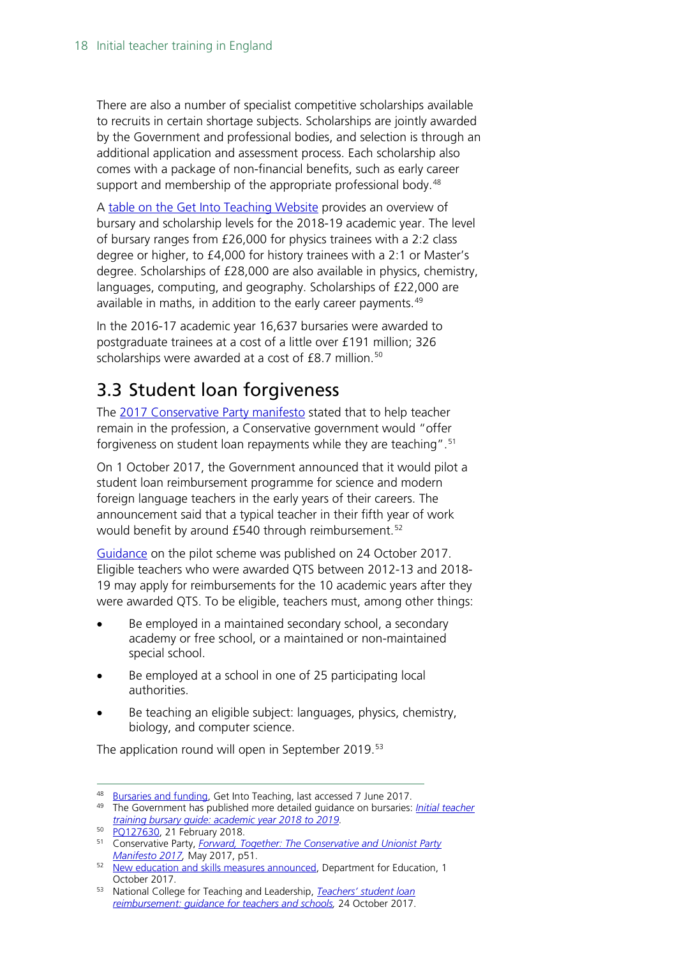There are also a number of specialist competitive scholarships available to recruits in certain shortage subjects. Scholarships are jointly awarded by the Government and professional bodies, and selection is through an additional application and assessment process. Each scholarship also comes with a package of non-financial benefits, such as early career support and membership of the appropriate professional body.<sup>[48](#page-17-1)</sup>

A [table on the Get Into Teaching Website](https://getintoteaching.education.gov.uk/funding-and-salary/overview) provides an overview of bursary and scholarship levels for the 2018-19 academic year. The level of bursary ranges from £26,000 for physics trainees with a 2:2 class degree or higher, to £4,000 for history trainees with a 2:1 or Master's degree. Scholarships of £28,000 are also available in physics, chemistry, languages, computing, and geography. Scholarships of £22,000 are available in maths, in addition to the early career payments.<sup>[49](#page-17-2)</sup>

In the 2016-17 academic year 16,637 bursaries were awarded to postgraduate trainees at a cost of a little over £191 million; 326 scholarships were awarded at a cost of £8.7 million.<sup>[50](#page-17-3)</sup>

## <span id="page-17-0"></span>3.3 Student loan forgiveness

The [2017 Conservative Party manifesto](https://s3.eu-west-2.amazonaws.com/manifesto2017/Manifesto2017.pdf) stated that to help teacher remain in the profession, a Conservative government would "offer forgiveness on student loan repayments while they are teaching". [51](#page-17-4)

On 1 October 2017, the Government announced that it would pilot a student loan reimbursement programme for science and modern foreign language teachers in the early years of their careers. The announcement said that a typical teacher in their fifth year of work would benefit by around £540 through reimbursement.<sup>[52](#page-17-5)</sup>

[Guidance](https://www.gov.uk/guidance/teachers-student-loan-reimbursement-guidance-for-teachers-and-schools) on the pilot scheme was published on 24 October 2017. Eligible teachers who were awarded QTS between 2012-13 and 2018- 19 may apply for reimbursements for the 10 academic years after they were awarded QTS. To be eligible, teachers must, among other things:

- Be employed in a maintained secondary school, a secondary academy or free school, or a maintained or non-maintained special school.
- Be employed at a school in one of 25 participating local authorities.
- Be teaching an eligible subject: languages, physics, chemistry, biology, and computer science.

The application round will open in September 2019.<sup>[53](#page-17-6)</sup>

<span id="page-17-1"></span> <sup>48</sup> [Bursaries and funding,](https://getintoteaching.education.gov.uk/bursaries-and-funding) Get Into Teaching, last accessed 7 June 2017.

<span id="page-17-2"></span><sup>49</sup> The Government has published more detailed guidance on bursaries: *[Initial teacher](https://www.gov.uk/government/publications/initial-teacher-training-bursary-guide-academic-year-2018-to-2019)  [training bursary guide: academic year 2018 to 2019.](https://www.gov.uk/government/publications/initial-teacher-training-bursary-guide-academic-year-2018-to-2019)*

<sup>50</sup> [PQ127630,](https://www.parliament.uk/written-questions-answers-statements/written-question/commons/2018-02-08/127630) 21 February 2018.

<span id="page-17-4"></span><span id="page-17-3"></span><sup>51</sup> Conservative Party, *[Forward, Together: The Conservative and Unionist Party](https://s3.eu-west-2.amazonaws.com/manifesto2017/Manifesto2017.pdf)  [Manifesto 2017,](https://s3.eu-west-2.amazonaws.com/manifesto2017/Manifesto2017.pdf)* May 2017, p51.

<span id="page-17-5"></span><sup>&</sup>lt;sup>52</sup> [New education and skills measures announced,](https://www.gov.uk/government/news/new-education-and-skills-measures-announced) Department for Education, 1 October 2017.

<span id="page-17-6"></span><sup>53</sup> National College for Teaching and Leadership, *[Teachers' student loan](https://www.gov.uk/guidance/teachers-student-loan-reimbursement-guidance-for-teachers-and-schools)  [reimbursement: guidance for teachers and schools,](https://www.gov.uk/guidance/teachers-student-loan-reimbursement-guidance-for-teachers-and-schools)* 24 October 2017.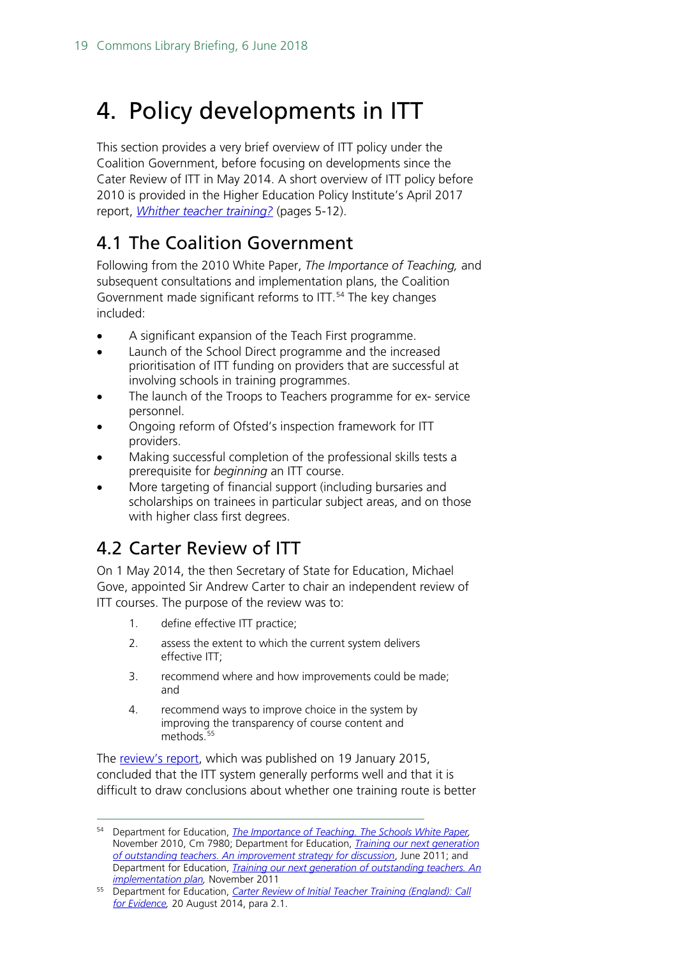## <span id="page-18-0"></span>4. Policy developments in ITT

This section provides a very brief overview of ITT policy under the Coalition Government, before focusing on developments since the Cater Review of ITT in May 2014. A short overview of ITT policy before 2010 is provided in the Higher Education Policy Institute's April 2017 report, *[Whither teacher training?](http://www.hepi.ac.uk/wp-content/uploads/2017/04/Embargoed-until-00.01am-Thursday-27-April-2017-WHITHER-TEACHER-EDUCATION-AND-TRAINING-Report-95-19_04_17WEB.pdf)* (pages 5-12).

### <span id="page-18-1"></span>4.1 The Coalition Government

Following from the 2010 White Paper, *The Importance of Teaching,* and subsequent consultations and implementation plans, the Coalition Government made significant reforms to ITT.<sup>[54](#page-18-3)</sup> The key changes included:

- A significant expansion of the Teach First programme.
- Launch of the School Direct programme and the increased prioritisation of ITT funding on providers that are successful at involving schools in training programmes.
- The launch of the Troops to Teachers programme for ex- service personnel.
- Ongoing reform of Ofsted's inspection framework for ITT providers.
- Making successful completion of the professional skills tests a prerequisite for *beginning* an ITT course.
- More targeting of financial support (including bursaries and scholarships on trainees in particular subject areas, and on those with higher class first degrees.

## <span id="page-18-2"></span>4.2 Carter Review of ITT

On 1 May 2014, the then Secretary of State for Education, Michael Gove, appointed Sir Andrew Carter to chair an independent review of ITT courses. The purpose of the review was to:

- 1. define effective ITT practice;
- 2. assess the extent to which the current system delivers effective ITT;
- 3. recommend where and how improvements could be made; and
- 4. recommend ways to improve choice in the system by improving the transparency of course content and methods.<sup>[55](#page-18-4)</sup>

The [review's report,](https://www.gov.uk/government/uploads/system/uploads/attachment_data/file/396391/Carter_Review_16012015.pdf) which was published on 19 January 2015, concluded that the ITT system generally performs well and that it is difficult to draw conclusions about whether one training route is better

<span id="page-18-3"></span> <sup>54</sup> Department for Education, *[The Importance of Teaching. The Schools White Paper,](http://www.education.gov.uk/schools/toolsandinitiatives/schoolswhitepaper/b0068570/the-importance-of-teaching)*  November 2010, Cm 7980; Department for Education, *[Training our next generation](http://media.education.gov.uk/assets/files/pdf/t/training%20our%20next%20generation%20of%20outstanding%20teachers.pdf)  [of outstanding teachers. An improvement strategy for discussion](http://media.education.gov.uk/assets/files/pdf/t/training%20our%20next%20generation%20of%20outstanding%20teachers.pdf)*, June 2011; and Department for Education, *[Training our next generation of outstanding teachers. An](https://www.gov.uk/government/uploads/system/uploads/attachment_data/file/181154/DFE-00083-2011.pdf)  [implementation plan,](https://www.gov.uk/government/uploads/system/uploads/attachment_data/file/181154/DFE-00083-2011.pdf)* November 2011

<span id="page-18-4"></span><sup>55</sup> Department for Education, *[Carter Review of Initial Teacher Training \(England\): Call](https://www.gov.uk/government/uploads/system/uploads/attachment_data/file/346051/Consultation_Document_-_Carter_Review_Final.pdf)  [for Evidence,](https://www.gov.uk/government/uploads/system/uploads/attachment_data/file/346051/Consultation_Document_-_Carter_Review_Final.pdf)* 20 August 2014, para 2.1.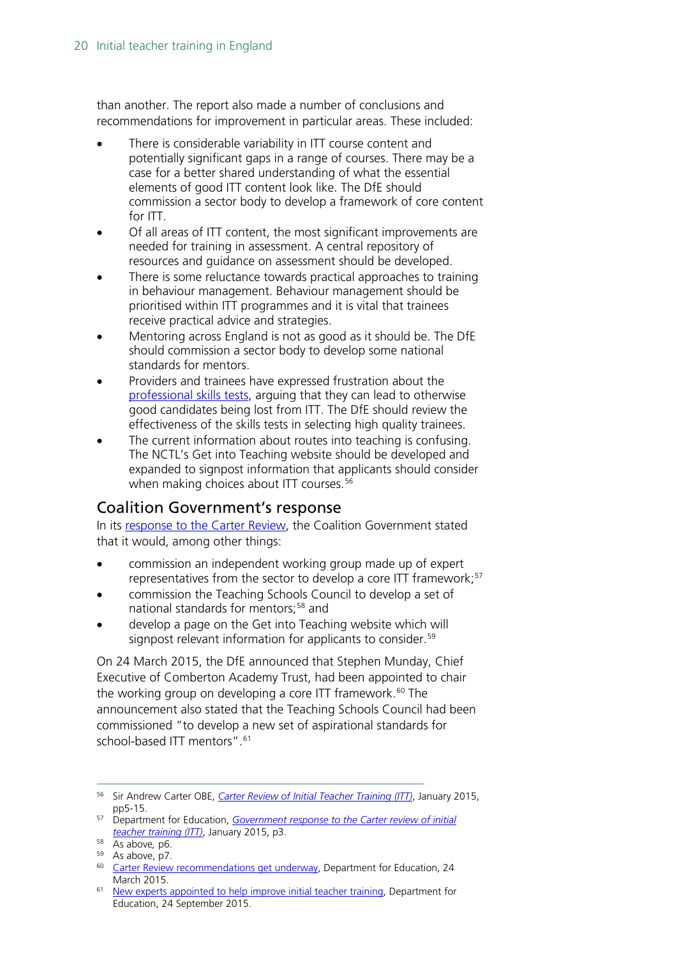than another. The report also made a number of conclusions and recommendations for improvement in particular areas. These included:

- There is considerable variability in ITT course content and potentially significant gaps in a range of courses. There may be a case for a better shared understanding of what the essential elements of good ITT content look like. The DfE should commission a sector body to develop a framework of core content for ITT.
- Of all areas of ITT content, the most significant improvements are needed for training in assessment. A central repository of resources and guidance on assessment should be developed.
- There is some reluctance towards practical approaches to training in behaviour management. Behaviour management should be prioritised within ITT programmes and it is vital that trainees receive practical advice and strategies.
- Mentoring across England is not as good as it should be. The DfE should commission a sector body to develop some national standards for mentors.
- Providers and trainees have expressed frustration about the [professional skills tests,](#page-13-0) arguing that they can lead to otherwise good candidates being lost from ITT. The DfE should review the effectiveness of the skills tests in selecting high quality trainees.
- The current information about routes into teaching is confusing. The NCTL's Get into Teaching website should be developed and expanded to signpost information that applicants should consider when making choices about ITT courses.<sup>[56](#page-19-1)</sup>

#### <span id="page-19-0"></span>Coalition Government's response

In its [response to the Carter Review,](https://www.gov.uk/government/news/new-headteacher-standards-and-review-of-itt-published) the Coalition Government stated that it would, among other things:

- commission an independent working group made up of expert representatives from the sector to develop a core ITT framework;<sup>[57](#page-19-2)</sup>
- commission the Teaching Schools Council to develop a set of national standards for mentors;<sup>[58](#page-19-3)</sup> and
- develop a page on the Get into Teaching website which will signpost relevant information for applicants to consider.<sup>[59](#page-19-4)</sup>

On 24 March 2015, the DfE announced that Stephen Munday, Chief Executive of Comberton Academy Trust, had been appointed to chair the working group on developing a core ITT framework.<sup>[60](#page-19-5)</sup> The announcement also stated that the Teaching Schools Council had been commissioned "to develop a new set of aspirational standards for school-based ITT mentors".<sup>[61](#page-19-6)</sup>

<span id="page-19-1"></span> <sup>56</sup> Sir Andrew Carter OBE, *[Carter Review of Initial Teacher Training \(ITT\)](https://www.gov.uk/government/uploads/system/uploads/attachment_data/file/396391/Carter_Review_16012015.pdf)*, January 2015, pp5-15.

<span id="page-19-2"></span><sup>57</sup> Department for Education, *[Government response to the Carter review of initial](https://www.gov.uk/government/uploads/system/uploads/attachment_data/file/396461/Carter_Review_Government_response_20150119.pdf)  [teacher training \(ITT\)](https://www.gov.uk/government/uploads/system/uploads/attachment_data/file/396461/Carter_Review_Government_response_20150119.pdf)*, January 2015, p3.

<span id="page-19-3"></span><sup>58</sup> As above*,* p6.

 $59$  As above, p7.

<span id="page-19-5"></span><span id="page-19-4"></span><sup>&</sup>lt;sup>60</sup> [Carter Review recommendations get underway,](https://www.gov.uk/government/news/carter-review-recommendations-get-underway) Department for Education, 24 March 2015.

<span id="page-19-6"></span><sup>&</sup>lt;sup>61</sup> [New experts appointed to help improve initial teacher training,](https://www.gov.uk/government/news/new-experts-appointed-to-help-improve-initial-teacher-training) Department for Education, 24 September 2015.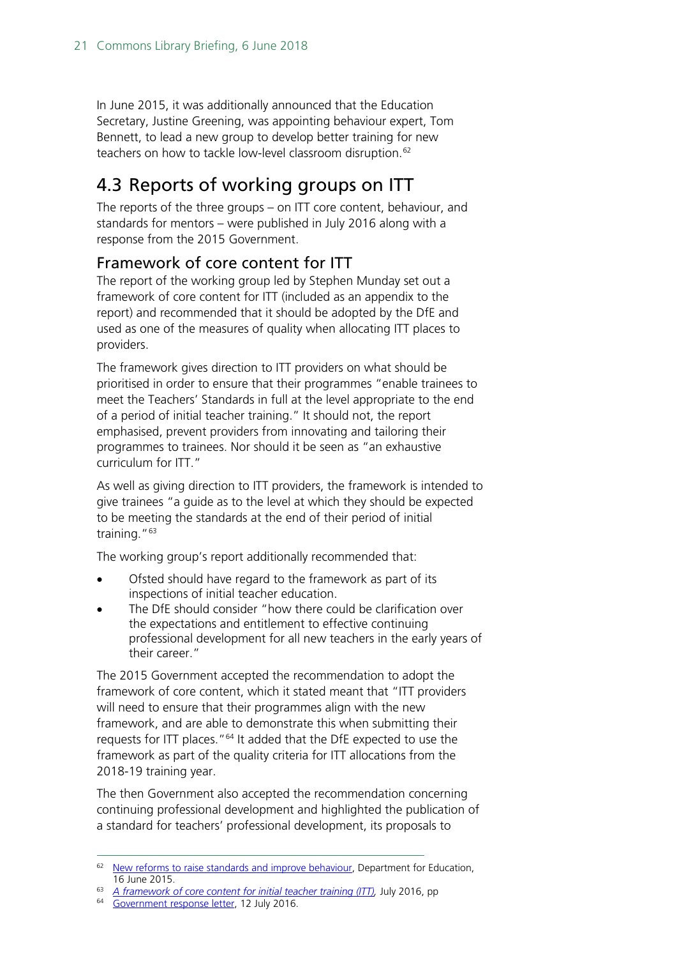In June 2015, it was additionally announced that the Education Secretary, Justine Greening, was appointing behaviour expert, Tom Bennett, to lead a new group to develop better training for new teachers on how to tackle low-level classroom disruption.<sup>[62](#page-20-2)</sup>

## <span id="page-20-0"></span>4.3 Reports of working groups on ITT

The reports of the three groups – on ITT core content, behaviour, and standards for mentors – were published in July 2016 along with a response from the 2015 Government.

#### <span id="page-20-1"></span>Framework of core content for ITT

The report of the working group led by Stephen Munday set out a framework of core content for ITT (included as an appendix to the report) and recommended that it should be adopted by the DfE and used as one of the measures of quality when allocating ITT places to providers.

The framework gives direction to ITT providers on what should be prioritised in order to ensure that their programmes "enable trainees to meet the Teachers' Standards in full at the level appropriate to the end of a period of initial teacher training." It should not, the report emphasised, prevent providers from innovating and tailoring their programmes to trainees. Nor should it be seen as "an exhaustive curriculum for ITT."

As well as giving direction to ITT providers, the framework is intended to give trainees "a guide as to the level at which they should be expected to be meeting the standards at the end of their period of initial training."[63](#page-20-3)

The working group's report additionally recommended that:

- Ofsted should have regard to the framework as part of its inspections of initial teacher education.
- The DfE should consider "how there could be clarification over the expectations and entitlement to effective continuing professional development for all new teachers in the early years of their career."

The 2015 Government accepted the recommendation to adopt the framework of core content, which it stated meant that "ITT providers will need to ensure that their programmes align with the new framework, and are able to demonstrate this when submitting their requests for ITT places."<sup>[64](#page-20-4)</sup> It added that the DfE expected to use the framework as part of the quality criteria for ITT allocations from the 2018-19 training year.

The then Government also accepted the recommendation concerning continuing professional development and highlighted the publication of a standard for teachers' professional development, its proposals to

<span id="page-20-2"></span><sup>&</sup>lt;sup>62</sup> [New reforms to raise standards and improve behaviour,](https://www.gov.uk/government/news/new-reforms-to-raise-standards-and-improve-behaviour) Department for Education, 16 June 2015.

<span id="page-20-3"></span><sup>63</sup> *[A framework of core content for initial teacher training \(ITT\),](https://www.gov.uk/government/uploads/system/uploads/attachment_data/file/536890/Framework_Report_11_July_2016_Final.pdf)* July 2016, pp

<span id="page-20-4"></span><sup>&</sup>lt;sup>64</sup> [Government response letter,](https://www.gov.uk/government/uploads/system/uploads/attachment_data/file/536916/Govt_response_-_ITT.pdf) 12 July 2016.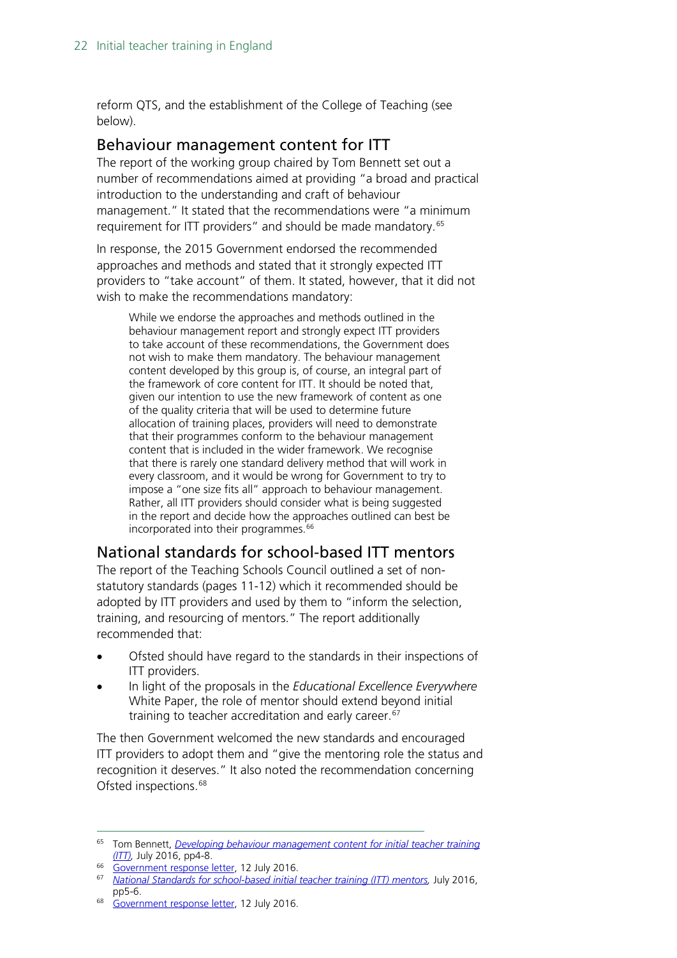reform QTS, and the establishment of the College of Teaching (see below).

#### <span id="page-21-0"></span>Behaviour management content for ITT

The report of the working group chaired by Tom Bennett set out a number of recommendations aimed at providing "a broad and practical introduction to the understanding and craft of behaviour management." It stated that the recommendations were "a minimum requirement for ITT providers" and should be made mandatory.<sup>[65](#page-21-2)</sup>

In response, the 2015 Government endorsed the recommended approaches and methods and stated that it strongly expected ITT providers to "take account" of them. It stated, however, that it did not wish to make the recommendations mandatory:

While we endorse the approaches and methods outlined in the behaviour management report and strongly expect ITT providers to take account of these recommendations, the Government does not wish to make them mandatory. The behaviour management content developed by this group is, of course, an integral part of the framework of core content for ITT. It should be noted that, given our intention to use the new framework of content as one of the quality criteria that will be used to determine future allocation of training places, providers will need to demonstrate that their programmes conform to the behaviour management content that is included in the wider framework. We recognise that there is rarely one standard delivery method that will work in every classroom, and it would be wrong for Government to try to impose a "one size fits all" approach to behaviour management. Rather, all ITT providers should consider what is being suggested in the report and decide how the approaches outlined can best be incorporated into their programmes.<sup>[66](#page-21-3)</sup>

#### <span id="page-21-1"></span>National standards for school-based ITT mentors

The report of the Teaching Schools Council outlined a set of nonstatutory standards (pages 11-12) which it recommended should be adopted by ITT providers and used by them to "inform the selection, training, and resourcing of mentors." The report additionally recommended that:

- Ofsted should have regard to the standards in their inspections of ITT providers.
- In light of the proposals in the *Educational Excellence Everywhere*  White Paper, the role of mentor should extend beyond initial training to teacher accreditation and early career.<sup>[67](#page-21-4)</sup>

The then Government welcomed the new standards and encouraged ITT providers to adopt them and "give the mentoring role the status and recognition it deserves." It also noted the recommendation concerning Ofsted inspections.<sup>[68](#page-21-5)</sup>

<span id="page-21-2"></span> <sup>65</sup> Tom Bennett, *[Developing behaviour management content for initial teacher training](https://www.gov.uk/government/uploads/system/uploads/attachment_data/file/536889/Behaviour_Management_report_final__11_July_2016.pdf)  [\(ITT\),](https://www.gov.uk/government/uploads/system/uploads/attachment_data/file/536889/Behaviour_Management_report_final__11_July_2016.pdf)* July 2016, pp4-8.

<span id="page-21-3"></span><sup>&</sup>lt;sup>66</sup> [Government response](https://www.gov.uk/government/uploads/system/uploads/attachment_data/file/536916/Govt_response_-_ITT.pdf) letter, 12 July 2016.

<span id="page-21-4"></span><sup>67</sup> *[National Standards for school-based initial teacher training \(ITT\) mentors,](https://www.gov.uk/government/uploads/system/uploads/attachment_data/file/536891/Mentor_standards_report_Final.pdf)* July 2016, pp5-6.

<span id="page-21-5"></span><sup>&</sup>lt;sup>68</sup> [Government response letter,](https://www.gov.uk/government/uploads/system/uploads/attachment_data/file/536916/Govt_response_-_ITT.pdf) 12 July 2016.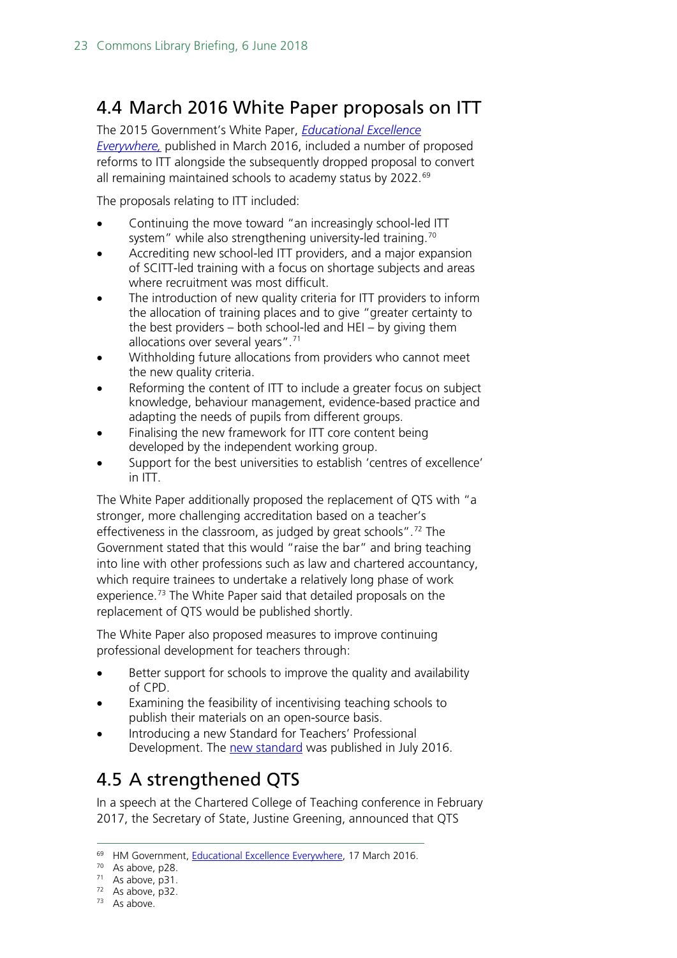## <span id="page-22-0"></span>4.4 March 2016 White Paper proposals on ITT

The 2015 Government's White Paper, *[Educational Excellence](https://www.gov.uk/government/uploads/system/uploads/attachment_data/file/508447/Educational_Excellence_Everywhere.pdf)  [Everywhere,](https://www.gov.uk/government/uploads/system/uploads/attachment_data/file/508447/Educational_Excellence_Everywhere.pdf)* published in March 2016, included a number of proposed reforms to ITT alongside the subsequently dropped proposal to convert all remaining maintained schools to academy status by 2022.<sup>[69](#page-22-2)</sup>

The proposals relating to ITT included:

- Continuing the move toward "an increasingly school-led ITT system" while also strengthening university-led training.<sup>[70](#page-22-3)</sup>
- Accrediting new school-led ITT providers, and a major expansion of SCITT-led training with a focus on shortage subjects and areas where recruitment was most difficult.
- The introduction of new quality criteria for ITT providers to inform the allocation of training places and to give "greater certainty to the best providers – both school-led and HEI – by giving them allocations over several years".[71](#page-22-4)
- Withholding future allocations from providers who cannot meet the new quality criteria.
- Reforming the content of ITT to include a greater focus on subject knowledge, behaviour management, evidence-based practice and adapting the needs of pupils from different groups.
- Finalising the new framework for ITT core content being developed by the independent working group.
- Support for the best universities to establish 'centres of excellence' in ITT.

The White Paper additionally proposed the replacement of QTS with "a stronger, more challenging accreditation based on a teacher's effectiveness in the classroom, as judged by great schools".<sup>[72](#page-22-5)</sup> The Government stated that this would "raise the bar" and bring teaching into line with other professions such as law and chartered accountancy, which require trainees to undertake a relatively long phase of work experience.<sup>[73](#page-22-6)</sup> The White Paper said that detailed proposals on the replacement of QTS would be published shortly.

The White Paper also proposed measures to improve continuing professional development for teachers through:

- Better support for schools to improve the quality and availability of CPD.
- Examining the feasibility of incentivising teaching schools to publish their materials on an open-source basis.
- Introducing a new Standard for Teachers' Professional Development. The [new standard](https://www.gov.uk/government/publications/standard-for-teachers-professional-development) was published in July 2016.

## <span id="page-22-1"></span>4.5 A strengthened QTS

In a speech at the Chartered College of Teaching conference in February 2017, the Secretary of State, Justine Greening, announced that QTS

<span id="page-22-3"></span><span id="page-22-2"></span><sup>&</sup>lt;sup>69</sup> HM Government, [Educational Excellence Everywhere,](https://www.gov.uk/government/uploads/system/uploads/attachment_data/file/508447/Educational_Excellence_Everywhere.pdf) 17 March 2016.<br><sup>70</sup> As above, p28.

<sup>71</sup> As above, p31.

<span id="page-22-5"></span><span id="page-22-4"></span> $72$  As above, p32.

<span id="page-22-6"></span><sup>73</sup> As above.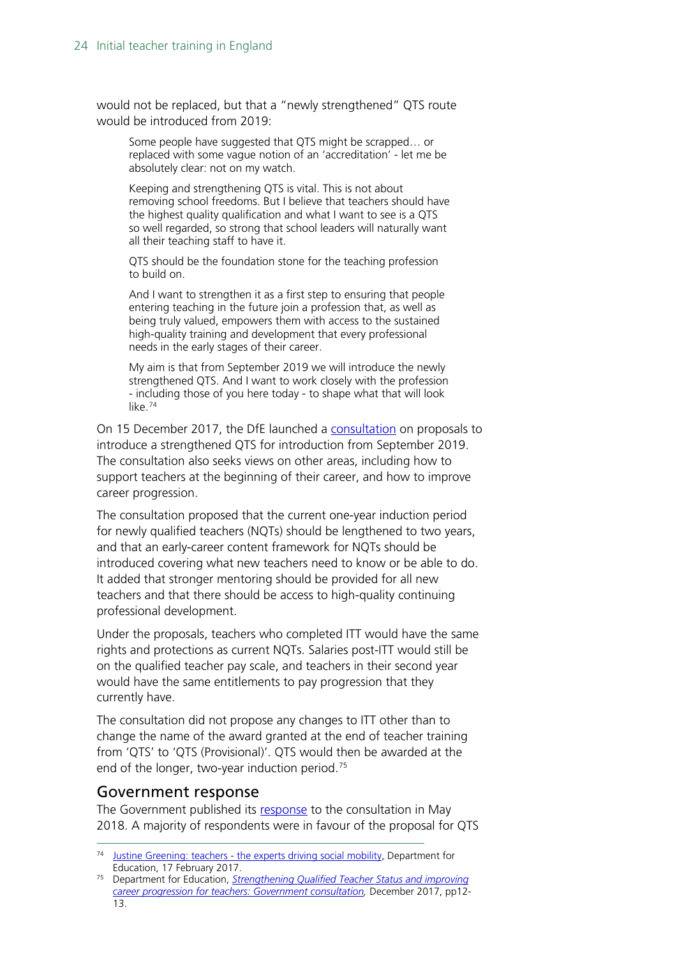would not be replaced, but that a "newly strengthened" QTS route would be introduced from 2019:

Some people have suggested that QTS might be scrapped… or replaced with some vague notion of an 'accreditation' - let me be absolutely clear: not on my watch.

Keeping and strengthening QTS is vital. This is not about removing school freedoms. But I believe that teachers should have the highest quality qualification and what I want to see is a QTS so well regarded, so strong that school leaders will naturally want all their teaching staff to have it.

QTS should be the foundation stone for the teaching profession to build on.

And I want to strengthen it as a first step to ensuring that people entering teaching in the future join a profession that, as well as being truly valued, empowers them with access to the sustained high-quality training and development that every professional needs in the early stages of their career.

My aim is that from September 2019 we will introduce the newly strengthened QTS. And I want to work closely with the profession - including those of you here today - to shape what that will look like.[74](#page-23-1)

On 15 December 2017, the DfE launched a [consultation](https://consult.education.gov.uk/teaching-profession-unit/strengthening-qts-and-improving-career-progression/supporting_documents/Strengthening%20Qualified%20Teacher%20Status%20and%20improving%20career%20progression%20for%20teachers%20consultation.pdf) on proposals to introduce a strengthened QTS for introduction from September 2019. The consultation also seeks views on other areas, including how to support teachers at the beginning of their career, and how to improve career progression.

The consultation proposed that the current one-year induction period for newly qualified teachers (NQTs) should be lengthened to two years, and that an early-career content framework for NQTs should be introduced covering what new teachers need to know or be able to do. It added that stronger mentoring should be provided for all new teachers and that there should be access to high-quality continuing professional development.

Under the proposals, teachers who completed ITT would have the same rights and protections as current NQTs. Salaries post-ITT would still be on the qualified teacher pay scale, and teachers in their second year would have the same entitlements to pay progression that they currently have.

The consultation did not propose any changes to ITT other than to change the name of the award granted at the end of teacher training from 'QTS' to 'QTS (Provisional)'. QTS would then be awarded at the end of the longer, two-year induction period.<sup>[75](#page-23-2)</sup>

#### <span id="page-23-0"></span>Government response

The Government published its [response](https://www.gov.uk/government/consultations/strengthening-qualified-teacher-status-and-career-progression?utm_source=8bdf41d3-e9a1-4b40-bc59-bfb68683e1b3&utm_medium=email&utm_campaign=govuk-notifications&utm_content=immediate) to the consultation in May 2018. A majority of respondents were in favour of the proposal for QTS

<span id="page-23-1"></span> <sup>74</sup> Justine Greening: teachers - [the experts driving social mobility,](https://www.gov.uk/government/speeches/justine-greening-teachers-the-experts-driving-social-mobility) Department for Education, 17 February 2017.

<span id="page-23-2"></span><sup>75</sup> Department for Education, *[Strengthening Qualified Teacher Status and improving](https://consult.education.gov.uk/teaching-profession-unit/strengthening-qts-and-improving-career-progression/supporting_documents/Strengthening%20Qualified%20Teacher%20Status%20and%20improving%20career%20progression%20for%20teachers%20consultation.pdf)  career [progression for teachers: Government consultation,](https://consult.education.gov.uk/teaching-profession-unit/strengthening-qts-and-improving-career-progression/supporting_documents/Strengthening%20Qualified%20Teacher%20Status%20and%20improving%20career%20progression%20for%20teachers%20consultation.pdf)* December 2017, pp12- 13.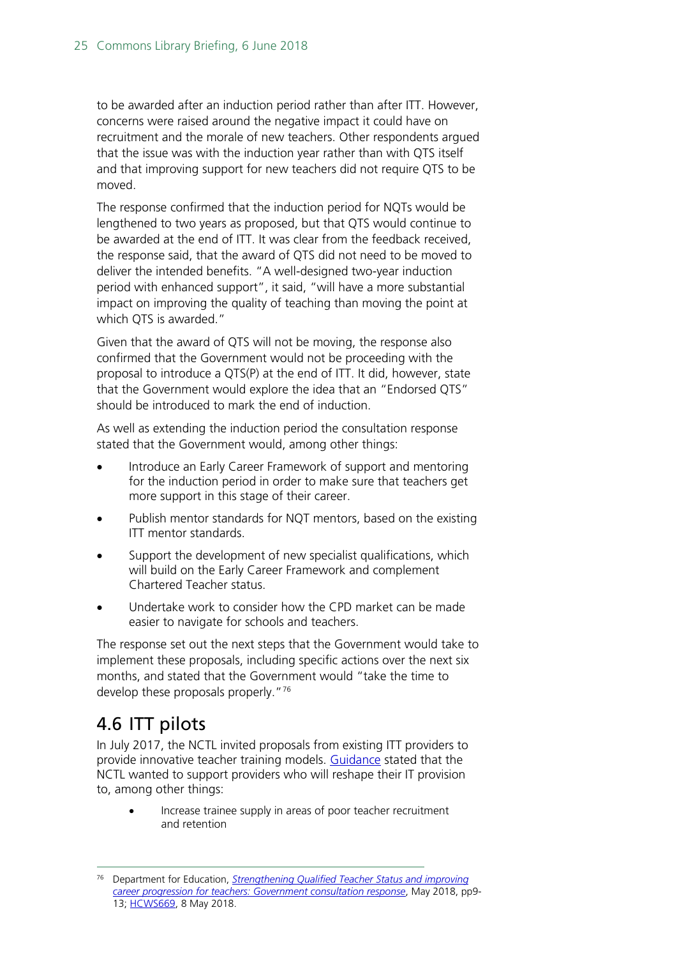to be awarded after an induction period rather than after ITT. However, concerns were raised around the negative impact it could have on recruitment and the morale of new teachers. Other respondents argued that the issue was with the induction year rather than with QTS itself and that improving support for new teachers did not require QTS to be moved.

The response confirmed that the induction period for NQTs would be lengthened to two years as proposed, but that QTS would continue to be awarded at the end of ITT. It was clear from the feedback received, the response said, that the award of QTS did not need to be moved to deliver the intended benefits. "A well-designed two-year induction period with enhanced support", it said, "will have a more substantial impact on improving the quality of teaching than moving the point at which QTS is awarded."

Given that the award of QTS will not be moving, the response also confirmed that the Government would not be proceeding with the proposal to introduce a QTS(P) at the end of ITT. It did, however, state that the Government would explore the idea that an "Endorsed QTS" should be introduced to mark the end of induction.

As well as extending the induction period the consultation response stated that the Government would, among other things:

- Introduce an Early Career Framework of support and mentoring for the induction period in order to make sure that teachers get more support in this stage of their career.
- Publish mentor standards for NQT mentors, based on the existing ITT mentor standards.
- Support the development of new specialist qualifications, which will build on the Early Career Framework and complement Chartered Teacher status.
- Undertake work to consider how the CPD market can be made easier to navigate for schools and teachers.

The response set out the next steps that the Government would take to implement these proposals, including specific actions over the next six months, and stated that the Government would "take the time to develop these proposals properly."[76](#page-24-1)

## <span id="page-24-0"></span>4.6 ITT pilots

In July 2017, the NCTL invited proposals from existing ITT providers to provide innovative teacher training models. [Guidance](https://www.gov.uk/guidance/initial-teacher-training-opportunity-to-pilot-innovative-approaches-in-the-provision-of-itt) stated that the NCTL wanted to support providers who will reshape their IT provision to, among other things:

• Increase trainee supply in areas of poor teacher recruitment and retention

<span id="page-24-1"></span> <sup>76</sup> Department for Education, *[Strengthening Qualified Teacher Status and improving](https://assets.publishing.service.gov.uk/government/uploads/system/uploads/attachment_data/file/704942/Government_consultation_response_-_QTS_and_career_progression.pdf)  [career progression for teachers: Government consultation response](https://assets.publishing.service.gov.uk/government/uploads/system/uploads/attachment_data/file/704942/Government_consultation_response_-_QTS_and_career_progression.pdf)*, May 2018, pp9- 13; [HCWS669,](https://www.parliament.uk/business/publications/written-questions-answers-statements/written-statement/Commons/2018-05-08/HCWS669) 8 May 2018.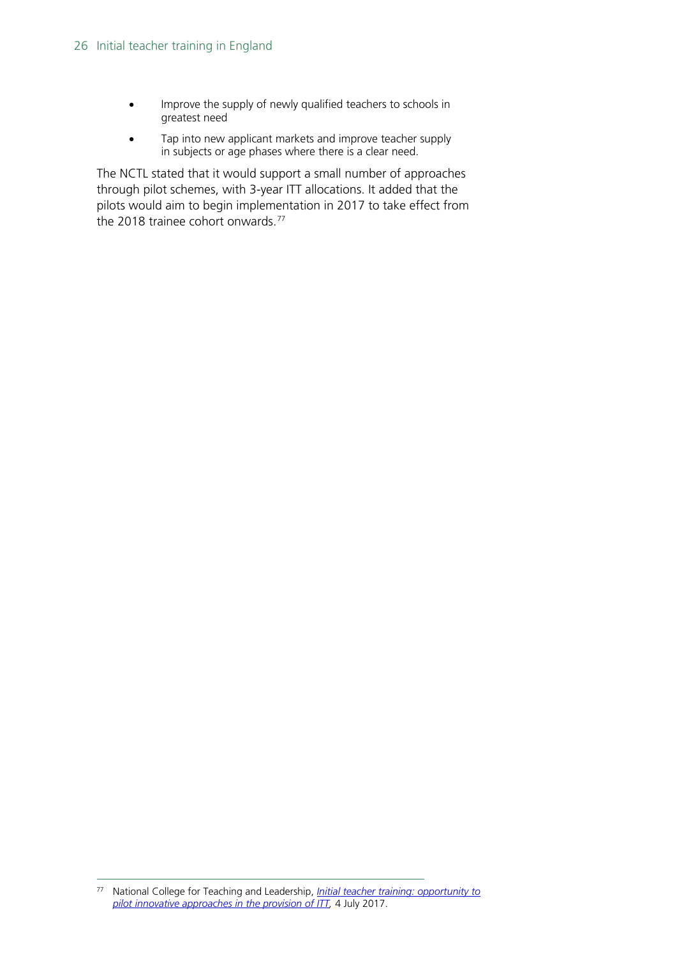- Improve the supply of newly qualified teachers to schools in greatest need
- Tap into new applicant markets and improve teacher supply in subjects or age phases where there is a clear need.

The NCTL stated that it would support a small number of approaches through pilot schemes, with 3-year ITT allocations. It added that the pilots would aim to begin implementation in 2017 to take effect from the 2018 trainee cohort onwards.<sup>[77](#page-25-0)</sup>

<span id="page-25-0"></span> <sup>77</sup> National College for Teaching and Leadership, *[Initial teacher training: opportunity to](https://www.gov.uk/guidance/initial-teacher-training-opportunity-to-pilot-innovative-approaches-in-the-provision-of-itt)  [pilot innovative approaches in the provision of ITT,](https://www.gov.uk/guidance/initial-teacher-training-opportunity-to-pilot-innovative-approaches-in-the-provision-of-itt)* 4 July 2017.